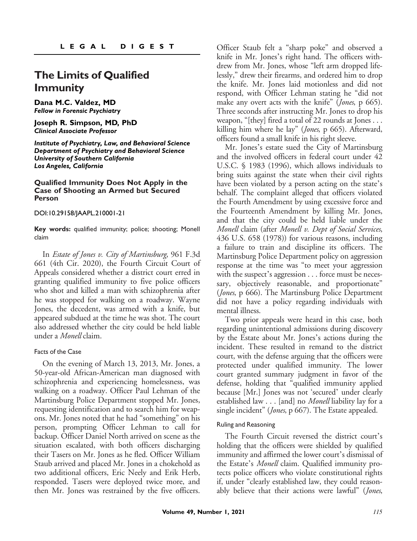# **The Limits of Qualified Immunity**

**Dana M.C. Valdez, MD** *Fellow in Forensic Psychiatry*

**Joseph R. Simpson, MD, PhD** *Clinical Associate Professor*

*Institute of Psychiatry, Law, and Behavioral Science Department of Psychiatry and Behavioral Science University of Southern California Los Angeles, California*

#### **Qualified Immunity Does Not Apply in the Case of Shooting an Armed but Secured Person**

DOI:10.29158/JAAPL.210001-21

**Key words:** qualified immunity; police; shooting; Monell claim

In Estate of Jones v. City of Martinsburg, 961 F.3d 661 (4th Cir. 2020), the Fourth Circuit Court of Appeals considered whether a district court erred in granting qualified immunity to five police officers who shot and killed a man with schizophrenia after he was stopped for walking on a roadway. Wayne Jones, the decedent, was armed with a knife, but appeared subdued at the time he was shot. The court also addressed whether the city could be held liable under a Monell claim.

#### Facts of the Case

On the evening of March 13, 2013, Mr. Jones, a 50-year-old African-American man diagnosed with schizophrenia and experiencing homelessness, was walking on a roadway. Officer Paul Lehman of the Martinsburg Police Department stopped Mr. Jones, requesting identification and to search him for weapons. Mr. Jones noted that he had "something" on his person, prompting Officer Lehman to call for backup. Officer Daniel North arrived on scene as the situation escalated, with both officers discharging their Tasers on Mr. Jones as he fled. Officer William Staub arrived and placed Mr. Jones in a chokehold as two additional officers, Eric Neely and Erik Herb, responded. Tasers were deployed twice more, and then Mr. Jones was restrained by the five officers.

Officer Staub felt a "sharp poke" and observed a knife in Mr. Jones's right hand. The officers withdrew from Mr. Jones, whose "left arm dropped lifelessly," drew their firearms, and ordered him to drop the knife. Mr. Jones laid motionless and did not respond, with Officer Lehman stating he "did not make any overt acts with the knife" (*Jones*, p 665). Three seconds after instructing Mr. Jones to drop his weapon, "[they] fired a total of 22 rounds at Jones . . . killing him where he lay" (Jones, p 665). Afterward, officers found a small knife in his right sleeve.

Mr. Jones's estate sued the City of Martinsburg and the involved officers in federal court under 42 U.S.C. § 1983 (1996), which allows individuals to bring suits against the state when their civil rights have been violated by a person acting on the state's behalf. The complaint alleged that officers violated the Fourth Amendment by using excessive force and the Fourteenth Amendment by killing Mr. Jones, and that the city could be held liable under the Monell claim (after Monell v. Dept of Social Services, 436 U.S. 658 (1978)) for various reasons, including a failure to train and discipline its officers. The Martinsburg Police Department policy on aggression response at the time was "to meet your aggression with the suspect's aggression . . . force must be necessary, objectively reasonable, and proportionate" (*Jones*, p 666). The Martinsburg Police Department did not have a policy regarding individuals with mental illness.

Two prior appeals were heard in this case, both regarding unintentional admissions during discovery by the Estate about Mr. Jones's actions during the incident. These resulted in remand to the district court, with the defense arguing that the officers were protected under qualified immunity. The lower court granted summary judgment in favor of the defense, holding that "qualified immunity applied because [Mr.] Jones was not 'secured' under clearly established law . . . [and] no *Monell* liability lay for a single incident" (Jones, p 667). The Estate appealed.

#### Ruling and Reasoning

The Fourth Circuit reversed the district court's holding that the officers were shielded by qualified immunity and affirmed the lower court's dismissal of the Estate's Monell claim. Qualified immunity protects police officers who violate constitutional rights if, under "clearly established law, they could reasonably believe that their actions were lawful" (*Jones*,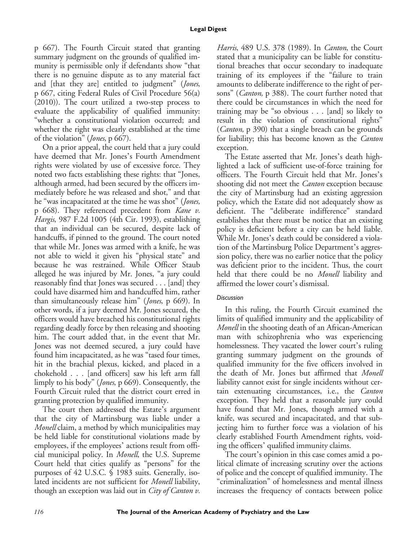p 667). The Fourth Circuit stated that granting summary judgment on the grounds of qualified immunity is permissible only if defendants show "that there is no genuine dispute as to any material fact and [that they are] entitled to judgment" (Jones, p 667, citing Federal Rules of Civil Procedure 56(a) (2010)). The court utilized a two-step process to evaluate the applicability of qualified immunity: "whether a constitutional violation occurred; and whether the right was clearly established at the time of the violation" (Jones, p 667).

On a prior appeal, the court held that a jury could have deemed that Mr. Jones's Fourth Amendment rights were violated by use of excessive force. They noted two facts establishing these rights: that "Jones, although armed, had been secured by the officers immediately before he was released and shot," and that he "was incapacitated at the time he was shot" (Jones, p 668). They referenced precedent from Kane v. Hargis, 987 F.2d 1005 (4th Cir. 1993), establishing that an individual can be secured, despite lack of handcuffs, if pinned to the ground. The court noted that while Mr. Jones was armed with a knife, he was not able to wield it given his "physical state" and because he was restrained. While Officer Staub alleged he was injured by Mr. Jones, "a jury could reasonably find that Jones was secured . . . [and] they could have disarmed him and handcuffed him, rather than simultaneously release him" (Jones, p 669). In other words, if a jury deemed Mr. Jones secured, the officers would have breached his constitutional rights regarding deadly force by then releasing and shooting him. The court added that, in the event that Mr. Jones was not deemed secured, a jury could have found him incapacitated, as he was "tased four times, hit in the brachial plexus, kicked, and placed in a chokehold . . . [and officers] saw his left arm fall limply to his body" (Jones, p 669). Consequently, the Fourth Circuit ruled that the district court erred in granting protection by qualified immunity.

The court then addressed the Estate's argument that the city of Martinsburg was liable under a Monell claim, a method by which municipalities may be held liable for constitutional violations made by employees, if the employees' actions result from official municipal policy. In Monell, the U.S. Supreme Court held that cities qualify as "persons" for the purposes of 42 U.S.C. § 1983 suits. Generally, isolated incidents are not sufficient for Monell liability, though an exception was laid out in *City of Canton v*.

Harris, 489 U.S. 378 (1989). In *Canton*, the Court stated that a municipality can be liable for constitutional breaches that occur secondary to inadequate training of its employees if the "failure to train amounts to deliberate indifference to the right of persons" (Canton, p 388). The court further noted that there could be circumstances in which the need for training may be "so obvious . . . [and] so likely to result in the violation of constitutional rights" (Canton, p 390) that a single breach can be grounds for liability; this has become known as the *Canton* exception.

The Estate asserted that Mr. Jones's death highlighted a lack of sufficient use-of-force training for officers. The Fourth Circuit held that Mr. Jones's shooting did not meet the *Canton* exception because the city of Martinsburg had an existing aggression policy, which the Estate did not adequately show as deficient. The "deliberate indifference" standard establishes that there must be notice that an existing policy is deficient before a city can be held liable. While Mr. Jones's death could be considered a violation of the Martinsburg Police Department's aggression policy, there was no earlier notice that the policy was deficient prior to the incident. Thus, the court held that there could be no *Monell* liability and affirmed the lower court's dismissal.

## *Discussion*

In this ruling, the Fourth Circuit examined the limits of qualified immunity and the applicability of Monell in the shooting death of an African-American man with schizophrenia who was experiencing homelessness. They vacated the lower court's ruling granting summary judgment on the grounds of qualified immunity for the five officers involved in the death of Mr. Jones but affirmed that Monell liability cannot exist for single incidents without certain extenuating circumstances, i.e., the *Canton* exception. They held that a reasonable jury could have found that Mr. Jones, though armed with a knife, was secured and incapacitated, and that subjecting him to further force was a violation of his clearly established Fourth Amendment rights, voiding the officers' qualified immunity claims.

The court's opinion in this case comes amid a political climate of increasing scrutiny over the actions of police and the concept of qualified immunity. The "criminalization" of homelessness and mental illness increases the frequency of contacts between police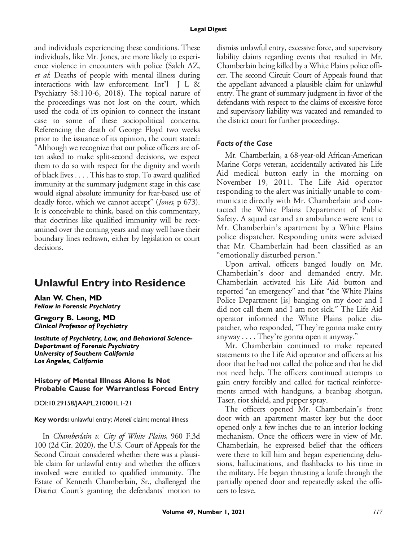and individuals experiencing these conditions. These individuals, like Mr. Jones, are more likely to experience violence in encounters with police (Saleh AZ, et al: Deaths of people with mental illness during interactions with law enforcement. Int'l JL& Psychiatry 58:110-6, 2018). The topical nature of the proceedings was not lost on the court, which used the coda of its opinion to connect the instant case to some of these sociopolitical concerns. Referencing the death of George Floyd two weeks prior to the issuance of its opinion, the court stated: "Although we recognize that our police officers are often asked to make split-second decisions, we expect them to do so with respect for the dignity and worth of black lives . . . . This has to stop. To award qualified immunity at the summary judgment stage in this case would signal absolute immunity for fear-based use of deadly force, which we cannot accept" (*Jones*, p 673). It is conceivable to think, based on this commentary, that doctrines like qualified immunity will be reexamined over the coming years and may well have their boundary lines redrawn, either by legislation or court decisions.

# **Unlawful Entry into Residence**

**Alan W. Chen, MD** *Fellow in Forensic Psychiatry*

**Gregory B. Leong, MD** *Clinical Professor of Psychiatry*

*Institute of Psychiatry, Law, and Behavioral Science-Department of Forensic Psychiatry University of Southern California Los Angeles, California*

#### **History of Mental Illness Alone Is Not Probable Cause for Warrantless Forced Entry**

DOI:10.29158/JAAPL.210001L1-21

**Key words:** unlawful entry; *Monell* claim; mental illness

In Chamberlain v. City of White Plains, 960 F.3d 100 (2d Cir. 2020), the U.S. Court of Appeals for the Second Circuit considered whether there was a plausible claim for unlawful entry and whether the officers involved were entitled to qualified immunity. The Estate of Kenneth Chamberlain, Sr., challenged the District Court's granting the defendants' motion to

dismiss unlawful entry, excessive force, and supervisory liability claims regarding events that resulted in Mr. Chamberlain being killed by a White Plains police officer. The second Circuit Court of Appeals found that the appellant advanced a plausible claim for unlawful entry. The grant of summary judgment in favor of the defendants with respect to the claims of excessive force and supervisory liability was vacated and remanded to the district court for further proceedings.

#### *Facts of the Case*

Mr. Chamberlain, a 68-year-old African-American Marine Corps veteran, accidentally activated his Life Aid medical button early in the morning on November 19, 2011. The Life Aid operator responding to the alert was initially unable to communicate directly with Mr. Chamberlain and contacted the White Plains Department of Public Safety. A squad car and an ambulance were sent to Mr. Chamberlain's apartment by a White Plains police dispatcher. Responding units were advised that Mr. Chamberlain had been classified as an "emotionally disturbed person."

Upon arrival, officers banged loudly on Mr. Chamberlain's door and demanded entry. Mr. Chamberlain activated his Life Aid button and reported "an emergency" and that "the White Plains Police Department [is] banging on my door and I did not call them and I am not sick." The Life Aid operator informed the White Plains police dispatcher, who responded, "They're gonna make entry anyway . . . . They're gonna open it anyway."

Mr. Chamberlain continued to make repeated statements to the Life Aid operator and officers at his door that he had not called the police and that he did not need help. The officers continued attempts to gain entry forcibly and called for tactical reinforcements armed with handguns, a beanbag shotgun, Taser, riot shield, and pepper spray.

The officers opened Mr. Chamberlain's front door with an apartment master key but the door opened only a few inches due to an interior locking mechanism. Once the officers were in view of Mr. Chamberlain, he expressed belief that the officers were there to kill him and began experiencing delusions, hallucinations, and flashbacks to his time in the military. He began thrusting a knife through the partially opened door and repeatedly asked the officers to leave.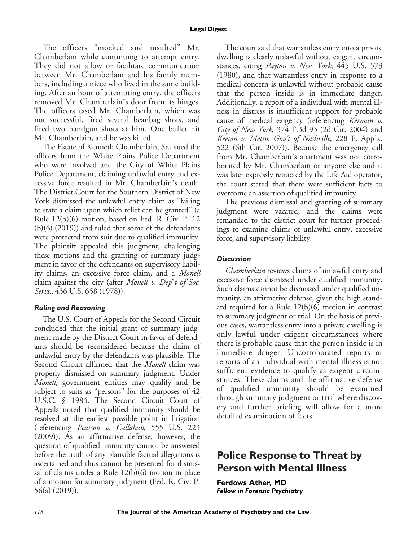The officers "mocked and insulted" Mr. Chamberlain while continuing to attempt entry. They did not allow or facilitate communication between Mr. Chamberlain and his family members, including a niece who lived in the same building. After an hour of attempting entry, the officers removed Mr. Chamberlain's door from its hinges. The officers tased Mr. Chamberlain, which was not successful, fired several beanbag shots, and fired two handgun shots at him. One bullet hit Mr. Chamberlain, and he was killed.

The Estate of Kenneth Chamberlain, Sr., sued the officers from the White Plains Police Department who were involved and the City of White Plains Police Department, claiming unlawful entry and excessive force resulted in Mr. Chamberlain's death. The District Court for the Southern District of New York dismissed the unlawful entry claim as "failing to state a claim upon which relief can be granted" (a Rule 12(b)(6) motion, based on Fed. R. Civ. P. 12 (b)(6) (2019)) and ruled that some of the defendants were protected from suit due to qualified immunity. The plaintiff appealed this judgment, challenging these motions and the granting of summary judgment in favor of the defendants on supervisory liability claims, an excessive force claim, and a Monell claim against the city (after Monell v. Dep't of Soc. Servs., 436 U.S. 658 (1978)).

## *Ruling and Reasoning*

The U.S. Court of Appeals for the Second Circuit concluded that the initial grant of summary judgment made by the District Court in favor of defendants should be reconsidered because the claim of unlawful entry by the defendants was plausible. The Second Circuit affirmed that the Monell claim was properly dismissed on summary judgment. Under Monell, government entities may qualify and be subject to suits as "persons" for the purposes of 42 U.S.C. § 1984. The Second Circuit Court of Appeals noted that qualified immunity should be resolved at the earliest possible point in litigation (referencing Pearson v. Callahan, 555 U.S. 223 (2009)). As an affirmative defense, however, the question of qualified immunity cannot be answered before the truth of any plausible factual allegations is ascertained and thus cannot be presented for dismissal of claims under a Rule 12(b)(6) motion in place of a motion for summary judgment (Fed. R. Civ. P. 56(a) (2019)).

The court said that warrantless entry into a private dwelling is clearly unlawful without exigent circumstances, citing Payton v. New York, 445 U.S. 573 (1980), and that warrantless entry in response to a medical concern is unlawful without probable cause that the person inside is in immediate danger. Additionally, a report of a individual with mental illness in distress is insufficient support for probable cause of medical exigency (referencing Kerman v. City of New York, 374 F.3d 93 (2d Cir. 2004) and Keeton v. Metro. Gov't of Nashville, 228 F. App'x. 522 (6th Cir. 2007)). Because the emergency call from Mr. Chamberlain's apartment was not corroborated by Mr. Chamberlain or anyone else and it was later expressly retracted by the Life Aid operator, the court stated that there were sufficient facts to overcome an assertion of qualified immunity.

The previous dismissal and granting of summary judgment were vacated, and the claims were remanded to the district court for further proceedings to examine claims of unlawful entry, excessive force, and supervisory liability.

## *Discussion*

Chamberlain reviews claims of unlawful entry and excessive force dismissed under qualified immunity. Such claims cannot be dismissed under qualified immunity, an affirmative defense, given the high standard required for a Rule 12(b)(6) motion in contrast to summary judgment or trial. On the basis of previous cases, warrantless entry into a private dwelling is only lawful under exigent circumstances where there is probable cause that the person inside is in immediate danger. Uncorroborated reports or reports of an individual with mental illness is not sufficient evidence to qualify as exigent circumstances. These claims and the affirmative defense of qualified immunity should be examined through summary judgment or trial where discovery and further briefing will allow for a more detailed examination of facts.

# **Police Response to Threat by Person with Mental Illness**

**Ferdows Ather, MD** *Fellow in Forensic Psychiatry*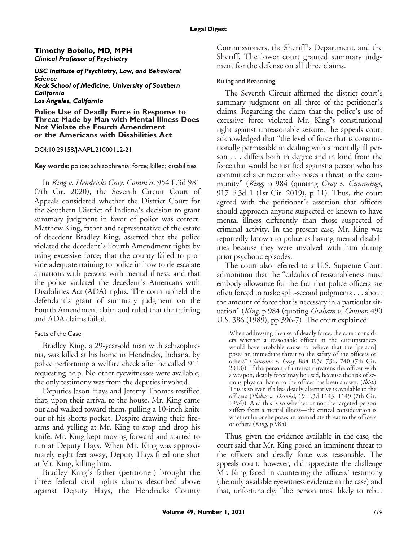### **Timothy Botello, MD, MPH** *Clinical Professor of Psychiatry*

*USC Institute of Psychiatry, Law, and Behavioral Science Keck School of Medicine, University of Southern California Los Angeles, California*

**Police Use of Deadly Force in Response to Threat Made by Man with Mental Illness Does Not Violate the Fourth Amendment or the Americans with Disabilities Act**

#### DOI:10.29158/JAAPL.210001L2-21

**Key words:** police; schizophrenia; force; killed; disabilities

In King v. Hendricks Cnty. Comm'rs, 954 F.3d 981 (7th Cir. 2020), the Seventh Circuit Court of Appeals considered whether the District Court for the Southern District of Indiana's decision to grant summary judgment in favor of police was correct. Matthew King, father and representative of the estate of decedent Bradley King, asserted that the police violated the decedent's Fourth Amendment rights by using excessive force; that the county failed to provide adequate training to police in how to de-escalate situations with persons with mental illness; and that the police violated the decedent's Americans with Disabilities Act (ADA) rights. The court upheld the defendant's grant of summary judgment on the Fourth Amendment claim and ruled that the training and ADA claims failed.

## Facts of the Case

Bradley King, a 29-year-old man with schizophrenia, was killed at his home in Hendricks, Indiana, by police performing a welfare check after he called 911 requesting help. No other eyewitnesses were available; the only testimony was from the deputies involved.

Deputies Jason Hays and Jeremy Thomas testified that, upon their arrival to the house, Mr. King came out and walked toward them, pulling a 10-inch knife out of his shorts pocket. Despite drawing their firearms and yelling at Mr. King to stop and drop his knife, Mr. King kept moving forward and started to run at Deputy Hays. When Mr. King was approximately eight feet away, Deputy Hays fired one shot at Mr. King, killing him.

Bradley King's father (petitioner) brought the three federal civil rights claims described above against Deputy Hays, the Hendricks County Commissioners, the Sheriff's Department, and the Sheriff. The lower court granted summary judgment for the defense on all three claims.

## Ruling and Reasoning

The Seventh Circuit affirmed the district court's summary judgment on all three of the petitioner's claims. Regarding the claim that the police's use of excessive force violated Mr. King's constitutional right against unreasonable seizure, the appeals court acknowledged that "the level of force that is constitutionally permissible in dealing with a mentally ill person . . . differs both in degree and in kind from the force that would be justified against a person who has committed a crime or who poses a threat to the community" (King, p 984 (quoting Gray v. Cummings, 917 F.3d 1 (1st Cir. 2019), p 11). Thus, the court agreed with the petitioner's assertion that officers should approach anyone suspected or known to have mental illness differently than those suspected of criminal activity. In the present case, Mr. King was reportedly known to police as having mental disabilities because they were involved with him during prior psychotic episodes.

The court also referred to a U.S. Supreme Court admonition that the "calculus of reasonableness must embody allowance for the fact that police officers are often forced to make split-second judgments . . . about the amount of force that is necessary in a particular situation" (King, p 984 (quoting Graham v. Connor, 490) U.S. 386 (1989), pp 396-7). The court explained:

When addressing the use of deadly force, the court considers whether a reasonable officer in the circumstances would have probable cause to believe that the [person] poses an immediate threat to the safety of the officers or others" (Sanzone v. Gray, 884 F.3d 736, 740 (7th Cir. 2018)). If the person of interest threatens the officer with a weapon, deadly force may be used, because the risk of serious physical harm to the officer has been shown. (Ibid.) This is so even if a less deadly alternative is available to the officers (Plakas v. Drinksi, 19 F.3d 1143, 1149 (7th Cir. 1994)). And this is so whether or not the targeted person suffers from a mental illness—the critical consideration is whether he or she poses an immediate threat to the officers or others (King, p 985).

Thus, given the evidence available in the case, the court said that Mr. King posed an imminent threat to the officers and deadly force was reasonable. The appeals court, however, did appreciate the challenge Mr. King faced in countering the officers' testimony (the only available eyewitness evidence in the case) and that, unfortunately, "the person most likely to rebut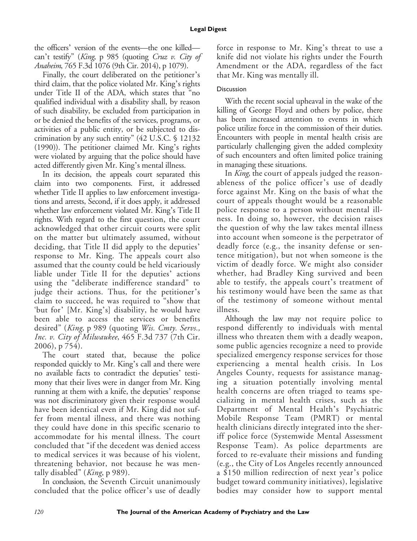the officers' version of the events—the one killed can't testify" (King, p 985 (quoting Cruz v. City of Anaheim, 765 F.3d 1076 (9th Cir. 2014), p 1079).

Finally, the court deliberated on the petitioner's third claim, that the police violated Mr. King's rights under Title II of the ADA, which states that "no qualified individual with a disability shall, by reason of such disability, be excluded from participation in or be denied the benefits of the services, programs, or activities of a public entity, or be subjected to discrimination by any such entity" (42 U.S.C. § 12132 (1990)). The petitioner claimed Mr. King's rights were violated by arguing that the police should have acted differently given Mr. King's mental illness.

In its decision, the appeals court separated this claim into two components. First, it addressed whether Title II applies to law enforcement investigations and arrests, Second, if it does apply, it addressed whether law enforcement violated Mr. King's Title II rights. With regard to the first question, the court acknowledged that other circuit courts were split on the matter but ultimately assumed, without deciding, that Title II did apply to the deputies' response to Mr. King. The appeals court also assumed that the county could be held vicariously liable under Title II for the deputies' actions using the "deliberate indifference standard" to judge their actions. Thus, for the petitioner's claim to succeed, he was required to "show that 'but for' [Mr. King's] disability, he would have been able to access the services or benefits desired" (King, p 989 (quoting Wis. Cmty. Servs., Inc. v. City of Milwaukee, 465 F.3d 737 (7th Cir. 2006), p 754).

The court stated that, because the police responded quickly to Mr. King's call and there were no available facts to contradict the deputies' testimony that their lives were in danger from Mr. King running at them with a knife, the deputies' response was not discriminatory given their response would have been identical even if Mr. King did not suffer from mental illness, and there was nothing they could have done in this specific scenario to accommodate for his mental illness. The court concluded that "if the decedent was denied access to medical services it was because of his violent, threatening behavior, not because he was mentally disabled" (King, p 989).

In conclusion, the Seventh Circuit unanimously concluded that the police officer's use of deadly force in response to Mr. King's threat to use a knife did not violate his rights under the Fourth Amendment or the ADA, regardless of the fact that Mr. King was mentally ill.

# **Discussion**

With the recent social upheaval in the wake of the killing of George Floyd and others by police, there has been increased attention to events in which police utilize force in the commission of their duties. Encounters with people in mental health crisis are particularly challenging given the added complexity of such encounters and often limited police training in managing these situations.

In King, the court of appeals judged the reasonableness of the police officer's use of deadly force against Mr. King on the basis of what the court of appeals thought would be a reasonable police response to a person without mental illness. In doing so, however, the decision raises the question of why the law takes mental illness into account when someone is the perpetrator of deadly force (e.g., the insanity defense or sentence mitigation), but not when someone is the victim of deadly force. We might also consider whether, had Bradley King survived and been able to testify, the appeals court's treatment of his testimony would have been the same as that of the testimony of someone without mental illness.

Although the law may not require police to respond differently to individuals with mental illness who threaten them with a deadly weapon, some public agencies recognize a need to provide specialized emergency response services for those experiencing a mental health crisis. In Los Angeles County, requests for assistance managing a situation potentially involving mental health concerns are often triaged to teams specializing in mental health crises, such as the Department of Mental Health's Psychiatric Mobile Response Team (PMRT) or mental health clinicians directly integrated into the sheriff police force (Systemwide Mental Assessment Response Team). As police departments are forced to re-evaluate their missions and funding (e.g., the City of Los Angeles recently announced a \$150 million redirection of next year's police budget toward community initiatives), legislative bodies may consider how to support mental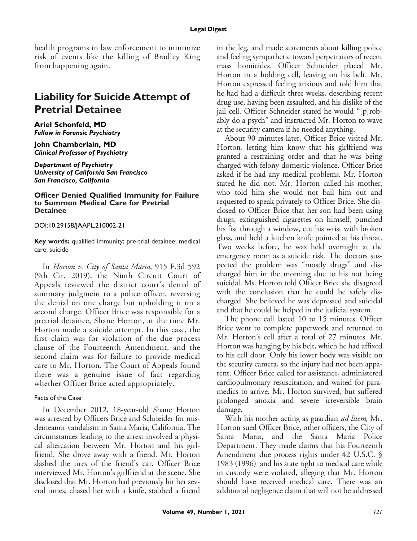health programs in law enforcement to minimize risk of events like the killing of Bradley King from happening again.

# **Liability for Suicide Attempt of Pretrial Detainee**

### **Ariel Schonfeld, MD** *Fellow in Forensic Psychiatry*

**John Chamberlain, MD** *Clinical Professor of Psychiatry*

*Department of Psychiatry University of California San Francisco San Francisco, California*

#### **Officer Denied Qualified Immunity for Failure to Summon Medical Care for Pretrial Detainee**

DOI:10.29158/JAAPL.210002-21

**Key words:** qualified immunity; pre-trial detainee; medical care; suicide

In Horton v. City of Santa Maria, 915 F.3d 592 (9th Cir. 2019), the Ninth Circuit Court of Appeals reviewed the district court's denial of summary judgment to a police officer, reversing the denial on one charge but upholding it on a second charge. Officer Brice was responsible for a pretrial detainee, Shane Horton, at the time Mr. Horton made a suicide attempt. In this case, the first claim was for violation of the due process clause of the Fourteenth Amendment, and the second claim was for failure to provide medical care to Mr. Horton. The Court of Appeals found there was a genuine issue of fact regarding whether Officer Brice acted appropriately.

## Facts of the Case

In December 2012, 18-year-old Shane Horton was arrested by Officers Brice and Schneider for misdemeanor vandalism in Santa Maria, California. The circumstances leading to the arrest involved a physical altercation between Mr. Horton and his girlfriend. She drove away with a friend. Mr. Horton slashed the tires of the friend's car. Officer Brice interviewed Mr. Horton's girlfriend at the scene. She disclosed that Mr. Horton had previously hit her several times, chased her with a knife, stabbed a friend

in the leg, and made statements about killing police and feeling sympathetic toward perpetrators of recent mass homicides. Officer Schneider placed Mr. Horton in a holding cell, leaving on his belt. Mr. Horton expressed feeling anxious and told him that he had had a difficult three weeks, describing recent drug use, having been assaulted, and his dislike of the jail cell. Officer Schneider stated he would "[p]robably do a psych" and instructed Mr. Horton to wave at the security camera if he needed anything.

About 90 minutes later, Officer Brice visited Mr. Horton, letting him know that his girlfriend was granted a restraining order and that he was being charged with felony domestic violence. Officer Brice asked if he had any medical problems. Mr. Horton stated he did not. Mr. Horton called his mother, who told him she would not bail him out and requested to speak privately to Officer Brice. She disclosed to Officer Brice that her son had been using drugs, extinguished cigarettes on himself, punched his fist through a window, cut his wrist with broken glass, and held a kitchen knife pointed at his throat. Two weeks before, he was held overnight at the emergency room as a suicide risk. The doctors suspected the problem was "mostly drugs" and discharged him in the morning due to his not being suicidal. Ms. Horton told Officer Brice she disagreed with the conclusion that he could be safely discharged. She believed he was depressed and suicidal and that he could be helped in the judicial system.

The phone call lasted 10 to 15 minutes. Officer Brice went to complete paperwork and returned to Mr. Horton's cell after a total of 27 minutes. Mr. Horton was hanging by his belt, which he had affixed to his cell door. Only his lower body was visible on the security camera, so the injury had not been apparent. Officer Brice called for assistance, administered cardiopulmonary resuscitation, and waited for paramedics to arrive. Mr. Horton survived, but suffered prolonged anoxia and severe irreversible brain damage.

With his mother acting as guardian *ad litem*, Mr. Horton sued Officer Brice, other officers, the City of Santa Maria, and the Santa Maria Police Department. They made claims that his Fourteenth Amendment due process rights under 42 U.S.C. § 1983 (1996) and his state right to medical care while in custody were violated, alleging that Mr. Horton should have received medical care. There was an additional negligence claim that will not be addressed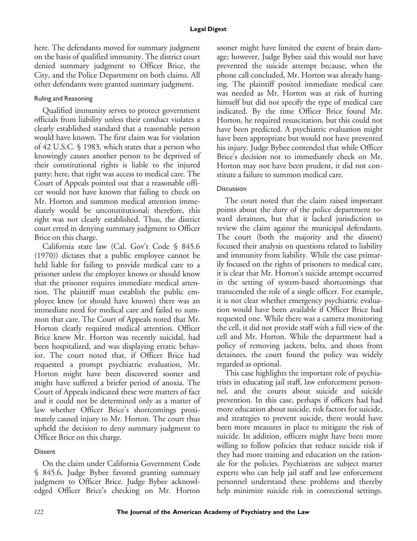here. The defendants moved for summary judgment on the basis of qualified immunity. The district court denied summary judgment to Officer Brice, the City, and the Police Department on both claims. All other defendants were granted summary judgment.

# Ruling and Reasoning

Qualified immunity serves to protect government officials from liability unless their conduct violates a clearly established standard that a reasonable person would have known. The first claim was for violation of 42 U.S.C. § 1983, which states that a person who knowingly causes another person to be deprived of their constitutional rights is liable to the injured party; here, that right was access to medical care. The Court of Appeals pointed out that a reasonable officer would not have known that failing to check on Mr. Horton and summon medical attention immediately would be unconstitutional; therefore, this right was not clearly established. Thus, the district court erred in denying summary judgment to Officer Brice on this charge.

California state law (Cal. Gov't Code § 845.6 (1970)) dictates that a public employee cannot be held liable for failing to provide medical care to a prisoner unless the employee knows or should know that the prisoner requires immediate medical attention. The plaintiff must establish the public employee knew (or should have known) there was an immediate need for medical care and failed to summon that care. The Court of Appeals noted that Mr. Horton clearly required medical attention. Officer Brice knew Mr. Horton was recently suicidal, had been hospitalized, and was displaying erratic behavior. The court noted that, if Officer Brice had requested a prompt psychiatric evaluation, Mr. Horton might have been discovered sooner and might have suffered a briefer period of anoxia. The Court of Appeals indicated these were matters of fact and it could not be determined only as a matter of law whether Officer Brice's shortcomings proximately caused injury to Mr. Horton. The court thus upheld the decision to deny summary judgment to Officer Brice on this charge.

# Dissent

On the claim under California Government Code § 845.6, Judge Bybee favored granting summary judgment to Officer Brice. Judge Bybee acknowledged Officer Brice's checking on Mr. Horton

sooner might have limited the extent of brain damage; however, Judge Bybee said this would not have prevented the suicide attempt because, when the phone call concluded, Mr. Horton was already hanging. The plaintiff posited immediate medical care was needed as Mr. Horton was at risk of hurting himself but did not specify the type of medical care indicated. By the time Officer Brice found Mr. Horton, he required resuscitation, but this could not have been predicted. A psychiatric evaluation might have been appropriate but would not have prevented his injury. Judge Bybee contended that while Officer Brice's decision not to immediately check on Mr. Horton may not have been prudent, it did not constitute a failure to summon medical care.

# **Discussion**

The court noted that the claim raised important points about the duty of the police department toward detainees, but that it lacked jurisdiction to review the claim against the municipal defendants. The court (both the majority and the dissent) focused their analysis on questions related to liability and immunity from liability. While the case primarily focused on the rights of prisoners to medical care, it is clear that Mr. Horton's suicide attempt occurred in the setting of system-based shortcomings that transcended the role of a single officer. For example, it is not clear whether emergency psychiatric evaluation would have been available if Officer Brice had requested one. While there was a camera monitoring the cell, it did not provide staff with a full view of the cell and Mr. Horton. While the department had a policy of removing jackets, belts, and shoes from detainees, the court found the policy was widely regarded as optional.

This case highlights the important role of psychiatrists in educating jail staff, law enforcement personnel, and the courts about suicide and suicide prevention. In this case, perhaps if officers had had more education about suicide, risk factors for suicide, and strategies to prevent suicide, there would have been more measures in place to mitigate the risk of suicide. In addition, officers might have been more willing to follow policies that reduce suicide risk if they had more training and education on the rationale for the policies. Psychiatrists are subject matter experts who can help jail staff and law enforcement personnel understand these problems and thereby help minimize suicide risk in correctional settings.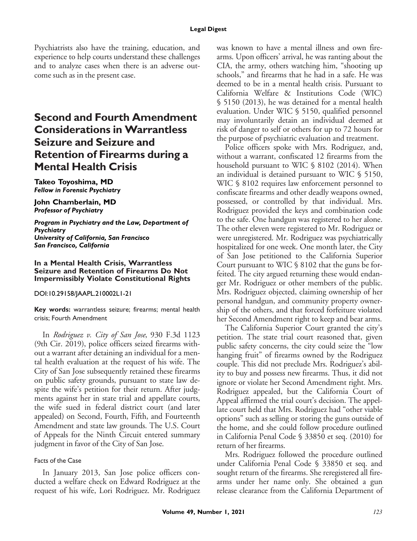Psychiatrists also have the training, education, and experience to help courts understand these challenges and to analyze cases when there is an adverse outcome such as in the present case.

# **Second and Fourth Amendment Considerations in Warrantless Seizure and Seizure and Retention of Firearms during a Mental Health Crisis**

**Takeo Toyoshima, MD** *Fellow in Forensic Psychiatry*

**John Chamberlain, MD** *Professor of Psychiatry*

*Program in Psychiatry and the Law, Department of Psychiatry University of California, San Francisco San Francisco, California*

#### **In a Mental Health Crisis, Warrantless Seizure and Retention of Firearms Do Not Impermissibly Violate Constitutional Rights**

DOI:10.29158/JAAPL.210002L1-21

**Key words:** warrantless seizure; firearms; mental health crisis; Fourth Amendment

In Rodriguez v. City of San Jose, 930 F.3d 1123 (9th Cir. 2019), police officers seized firearms without a warrant after detaining an individual for a mental health evaluation at the request of his wife. The City of San Jose subsequently retained these firearms on public safety grounds, pursuant to state law despite the wife's petition for their return. After judgments against her in state trial and appellate courts, the wife sued in federal district court (and later appealed) on Second, Fourth, Fifth, and Fourteenth Amendment and state law grounds. The U.S. Court of Appeals for the Ninth Circuit entered summary judgment in favor of the City of San Jose.

## Facts of the Case

In January 2013, San Jose police officers conducted a welfare check on Edward Rodriguez at the request of his wife, Lori Rodriguez. Mr. Rodriguez was known to have a mental illness and own firearms. Upon officers' arrival, he was ranting about the CIA, the army, others watching him, "shooting up schools," and firearms that he had in a safe. He was deemed to be in a mental health crisis. Pursuant to California Welfare & Institutions Code (WIC) § 5150 (2013), he was detained for a mental health evaluation. Under WIC § 5150, qualified personnel may involuntarily detain an individual deemed at risk of danger to self or others for up to 72 hours for the purpose of psychiatric evaluation and treatment.

Police officers spoke with Mrs. Rodriguez, and, without a warrant, confiscated 12 firearms from the household pursuant to WIC § 8102 (2014). When an individual is detained pursuant to WIC § 5150, WIC § 8102 requires law enforcement personnel to confiscate firearms and other deadly weapons owned, possessed, or controlled by that individual. Mrs. Rodriguez provided the keys and combination code to the safe. One handgun was registered to her alone. The other eleven were registered to Mr. Rodriguez or were unregistered. Mr. Rodriguez was psychiatrically hospitalized for one week. One month later, the City of San Jose petitioned to the California Superior Court pursuant to WIC § 8102 that the guns be forfeited. The city argued returning these would endanger Mr. Rodriguez or other members of the public. Mrs. Rodriguez objected, claiming ownership of her personal handgun, and community property ownership of the others, and that forced forfeiture violated her Second Amendment right to keep and bear arms.

The California Superior Court granted the city's petition. The state trial court reasoned that, given public safety concerns, the city could seize the "low hanging fruit" of firearms owned by the Rodriguez couple. This did not preclude Mrs. Rodriguez's ability to buy and possess new firearms. Thus, it did not ignore or violate her Second Amendment right. Mrs. Rodriguez appealed, but the California Court of Appeal affirmed the trial court's decision. The appellate court held that Mrs. Rodriguez had "other viable options" such as selling or storing the guns outside of the home, and she could follow procedure outlined in California Penal Code § 33850 et seq. (2010) for return of her firearms.

Mrs. Rodriguez followed the procedure outlined under California Penal Code § 33850 et seq. and sought return of the firearms. She reregistered all firearms under her name only. She obtained a gun release clearance from the California Department of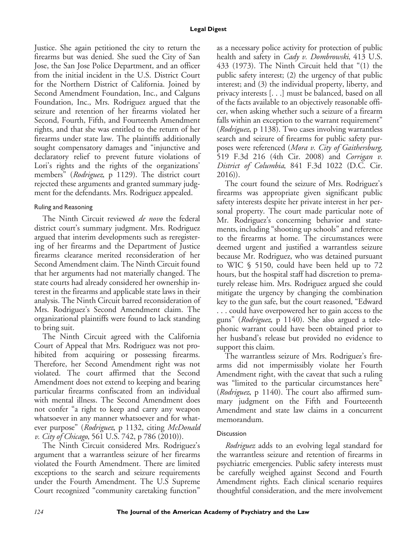Justice. She again petitioned the city to return the firearms but was denied. She sued the City of San Jose, the San Jose Police Department, and an officer from the initial incident in the U.S. District Court for the Northern District of California. Joined by Second Amendment Foundation, Inc., and Calguns Foundation, Inc., Mrs. Rodriguez argued that the seizure and retention of her firearms violated her Second, Fourth, Fifth, and Fourteenth Amendment rights, and that she was entitled to the return of her firearms under state law. The plaintiffs additionally sought compensatory damages and "injunctive and declaratory relief to prevent future violations of Lori's rights and the rights of the organizations' members" (Rodriguez, p 1129). The district court rejected these arguments and granted summary judgment for the defendants. Mrs. Rodriguez appealed.

## Ruling and Reasoning

The Ninth Circuit reviewed *de novo* the federal district court's summary judgment. Mrs. Rodriguez argued that interim developments such as reregistering of her firearms and the Department of Justice firearms clearance merited reconsideration of her Second Amendment claim. The Ninth Circuit found that her arguments had not materially changed. The state courts had already considered her ownership interest in the firearms and applicable state laws in their analysis. The Ninth Circuit barred reconsideration of Mrs. Rodriguez's Second Amendment claim. The organizational plaintiffs were found to lack standing to bring suit.

The Ninth Circuit agreed with the California Court of Appeal that Mrs. Rodriguez was not prohibited from acquiring or possessing firearms. Therefore, her Second Amendment right was not violated. The court affirmed that the Second Amendment does not extend to keeping and bearing particular firearms confiscated from an individual with mental illness. The Second Amendment does not confer "a right to keep and carry any weapon whatsoever in any manner whatsoever and for whatever purpose" (Rodriguez, p 1132, citing McDonald v. City of Chicago, 561 U.S. 742, p 786 (2010)).

The Ninth Circuit considered Mrs. Rodriguez's argument that a warrantless seizure of her firearms violated the Fourth Amendment. There are limited exceptions to the search and seizure requirements under the Fourth Amendment. The U.S Supreme Court recognized "community caretaking function"

as a necessary police activity for protection of public health and safety in *Cady v. Dombrowski*, 413 U.S. 433 (1973). The Ninth Circuit held that "(1) the public safety interest; (2) the urgency of that public interest; and (3) the individual property, liberty, and privacy interests [. . .] must be balanced, based on all of the facts available to an objectively reasonable officer, when asking whether such a seizure of a firearm falls within an exception to the warrant requirement" (Rodriguez, p 1138). Two cases involving warrantless search and seizure of firearms for public safety purposes were referenced (Mora v. City of Gaithersburg, 519 F.3d 216 (4th Cir. 2008) and Corrigan v. District of Columbia, 841 F.3d 1022 (D.C. Cir. 2016)).

The court found the seizure of Mrs. Rodriguez's firearms was appropriate given significant public safety interests despite her private interest in her personal property. The court made particular note of Mr. Rodriguez's concerning behavior and statements, including "shooting up schools" and reference to the firearms at home. The circumstances were deemed urgent and justified a warrantless seizure because Mr. Rodriguez, who was detained pursuant to WIC § 5150, could have been held up to 72 hours, but the hospital staff had discretion to prematurely release him. Mrs. Rodriguez argued she could mitigate the urgency by changing the combination key to the gun safe, but the court reasoned, "Edward . . . could have overpowered her to gain access to the guns" (Rodriguez, p 1140). She also argued a telephonic warrant could have been obtained prior to her husband's release but provided no evidence to support this claim.

The warrantless seizure of Mrs. Rodriguez's firearms did not impermissibly violate her Fourth Amendment right, with the caveat that such a ruling was "limited to the particular circumstances here" (Rodriguez, p 1140). The court also affirmed summary judgment on the Fifth and Fourteeenth Amendment and state law claims in a concurrent memorandum.

## Discussion

Rodriguez adds to an evolving legal standard for the warrantless seizure and retention of firearms in psychiatric emergencies. Public safety interests must be carefully weighed against Second and Fourth Amendment rights. Each clinical scenario requires thoughtful consideration, and the mere involvement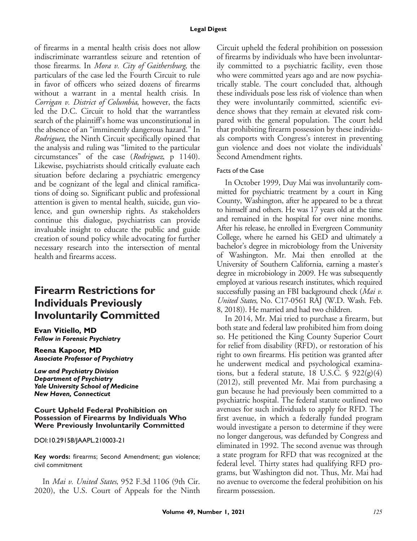of firearms in a mental health crisis does not allow indiscriminate warrantless seizure and retention of those firearms. In Mora v. City of Gaithersburg, the particulars of the case led the Fourth Circuit to rule in favor of officers who seized dozens of firearms without a warrant in a mental health crisis. In Corrigan v. District of Columbia, however, the facts led the D.C. Circuit to hold that the warrantless search of the plaintiff's home was unconstitutional in the absence of an "imminently dangerous hazard." In Rodriguez, the Ninth Circuit specifically opined that the analysis and ruling was "limited to the particular circumstances" of the case (Rodriguez, p 1140). Likewise, psychiatrists should critically evaluate each situation before declaring a psychiatric emergency and be cognizant of the legal and clinical ramifications of doing so. Significant public and professional attention is given to mental health, suicide, gun violence, and gun ownership rights. As stakeholders continue this dialogue, psychiatrists can provide invaluable insight to educate the public and guide creation of sound policy while advocating for further necessary research into the intersection of mental health and firearms access.

# **Firearm Restrictions for Individuals Previously Involuntarily Committed**

**Evan Vitiello, MD** *Fellow in Forensic Psychiatry*

**Reena Kapoor, MD** *Associate Professor of Psychiatry*

*Law and Psychiatry Division Department of Psychiatry Yale University School of Medicine New Haven, Connecticut*

### **Court Upheld Federal Prohibition on Possession of Firearms by Individuals Who Were Previously Involuntarily Committed**

DOI:10.29158/JAAPL.210003-21

**Key words:** firearms; Second Amendment; gun violence; civil commitment

In Mai v. United States, 952 F.3d 1106 (9th Cir. 2020), the U.S. Court of Appeals for the Ninth Circuit upheld the federal prohibition on possession of firearms by individuals who have been involuntarily committed to a psychiatric facility, even those who were committed years ago and are now psychiatrically stable. The court concluded that, although these individuals pose less risk of violence than when they were involuntarily committed, scientific evidence shows that they remain at elevated risk compared with the general population. The court held that prohibiting firearm possession by these individuals comports with Congress's interest in preventing gun violence and does not violate the individuals' Second Amendment rights.

## Facts of the Case

In October 1999, Duy Mai was involuntarily committed for psychiatric treatment by a court in King County, Washington, after he appeared to be a threat to himself and others. He was 17 years old at the time and remained in the hospital for over nine months. After his release, he enrolled in Evergreen Community College, where he earned his GED and ultimately a bachelor's degree in microbiology from the University of Washington. Mr. Mai then enrolled at the University of Southern California, earning a master's degree in microbiology in 2009. He was subsequently employed at various research institutes, which required successfully passing an FBI background check (Mai v. United States, No. C17-0561 RAJ (W.D. Wash. Feb. 8, 2018)). He married and had two children.

In 2014, Mr. Mai tried to purchase a firearm, but both state and federal law prohibited him from doing so. He petitioned the King County Superior Court for relief from disability (RFD), or restoration of his right to own firearms. His petition was granted after he underwent medical and psychological examinations, but a federal statute, 18 U.S.C. § 922(g)(4) (2012), still prevented Mr. Mai from purchasing a gun because he had previously been committed to a psychiatric hospital. The federal statute outlined two avenues for such individuals to apply for RFD. The first avenue, in which a federally funded program would investigate a person to determine if they were no longer dangerous, was defunded by Congress and eliminated in 1992. The second avenue was through a state program for RFD that was recognized at the federal level. Thirty states had qualifying RFD programs, but Washington did not. Thus, Mr. Mai had no avenue to overcome the federal prohibition on his firearm possession.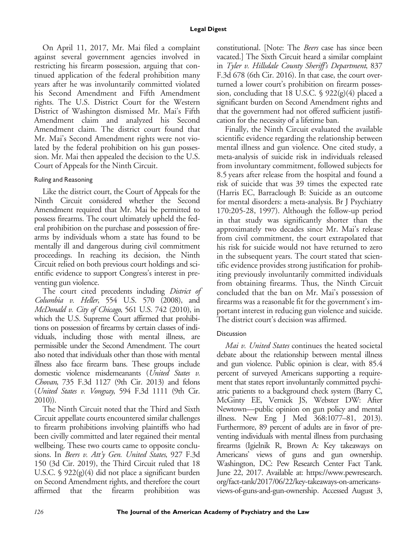On April 11, 2017, Mr. Mai filed a complaint against several government agencies involved in restricting his firearm possession, arguing that continued application of the federal prohibition many years after he was involuntarily committed violated his Second Amendment and Fifth Amendment rights. The U.S. District Court for the Western District of Washington dismissed Mr. Mai's Fifth Amendment claim and analyzed his Second Amendment claim. The district court found that Mr. Mai's Second Amendment rights were not violated by the federal prohibition on his gun possession. Mr. Mai then appealed the decision to the U.S. Court of Appeals for the Ninth Circuit.

## Ruling and Reasoning

Like the district court, the Court of Appeals for the Ninth Circuit considered whether the Second Amendment required that Mr. Mai be permitted to possess firearms. The court ultimately upheld the federal prohibition on the purchase and possession of firearms by individuals whom a state has found to be mentally ill and dangerous during civil commitment proceedings. In reaching its decision, the Ninth Circuit relied on both previous court holdings and scientific evidence to support Congress's interest in preventing gun violence.

The court cited precedents including District of Columbia v. Heller, 554 U.S. 570 (2008), and McDonald v. City of Chicago, 561 U.S. 742 (2010), in which the U.S. Supreme Court affirmed that prohibitions on possession of firearms by certain classes of individuals, including those with mental illness, are permissible under the Second Amendment. The court also noted that individuals other than those with mental illness also face firearm bans. These groups include domestic violence misdemeanants (United States v. Chovan, 735 F.3d 1127 (9th Cir. 2013) and felons (United States v. Vongxay, 594 F.3d 1111 (9th Cir. 2010)).

The Ninth Circuit noted that the Third and Sixth Circuit appellate courts encountered similar challenges to firearm prohibitions involving plaintiffs who had been civilly committed and later regained their mental wellbeing. These two courts came to opposite conclusions. In Beers v. Att'y Gen. United States, 927 F.3d 150 (3d Cir. 2019), the Third Circuit ruled that 18 U.S.C. § 922(g)(4) did not place a significant burden on Second Amendment rights, and therefore the court affirmed that the firearm prohibition was constitutional. [Note: The Beers case has since been vacated.] The Sixth Circuit heard a similar complaint in Tyler v. Hillsdale County Sheriff's Department, 837 F.3d 678 (6th Cir. 2016). In that case, the court overturned a lower court's prohibition on firearm possession, concluding that 18 U.S.C. § 922(g)(4) placed a significant burden on Second Amendment rights and that the government had not offered sufficient justification for the necessity of a lifetime ban.

Finally, the Ninth Circuit evaluated the available scientific evidence regarding the relationship between mental illness and gun violence. One cited study, a meta-analysis of suicide risk in individuals released from involuntary commitment, followed subjects for 8.5 years after release from the hospital and found a risk of suicide that was 39 times the expected rate (Harris EC, Barraclough B: Suicide as an outcome for mental disorders: a meta-analysis. Br J Psychiatry 170:205-28, 1997). Although the follow-up period in that study was significantly shorter than the approximately two decades since Mr. Mai's release from civil commitment, the court extrapolated that his risk for suicide would not have returned to zero in the subsequent years. The court stated that scientific evidence provides strong justification for prohibiting previously involuntarily committed individuals from obtaining firearms. Thus, the Ninth Circuit concluded that the ban on Mr. Mai's possession of firearms was a reasonable fit for the government's important interest in reducing gun violence and suicide. The district court's decision was affirmed.

## **Discussion**

Mai v. United States continues the heated societal debate about the relationship between mental illness and gun violence. Public opinion is clear, with 85.4 percent of surveyed Americans supporting a requirement that states report involuntarily committed psychiatric patients to a background check system (Barry C, McGinty EE, Vernick JS, Webster DW: After Newtown—public opinion on gun policy and mental illness. New Eng J Med 368:1077–81, 2013). Furthermore, 89 percent of adults are in favor of preventing individuals with mental illness from purchasing firearms (Igielnik R, Brown A: Key takeaways on Americans' views of guns and gun ownership. Washington, DC: Pew Research Center Fact Tank. June 22, 2017. Available at: [https://www.pewresearch.](https://www.pewresearch.org/fact-tank/2017/06/22/key-takeaways-on-americans-views-of-guns-and-gun-ownership) [org/fact-tank/2017/06/22/key-takeaways-on-americans](https://www.pewresearch.org/fact-tank/2017/06/22/key-takeaways-on-americans-views-of-guns-and-gun-ownership)[views-of-guns-and-gun-ownership.](https://www.pewresearch.org/fact-tank/2017/06/22/key-takeaways-on-americans-views-of-guns-and-gun-ownership) Accessed August 3,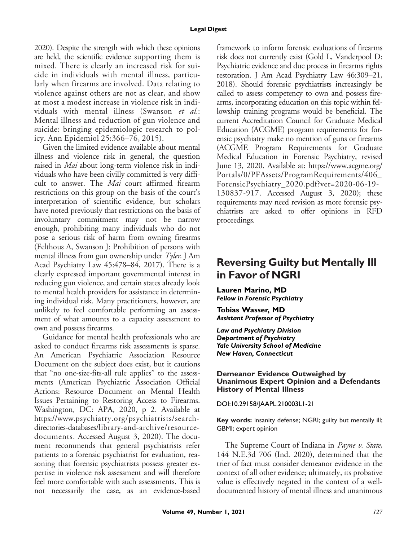#### **Legal Digest**

2020). Despite the strength with which these opinions are held, the scientific evidence supporting them is mixed. There is clearly an increased risk for suicide in individuals with mental illness, particularly when firearms are involved. Data relating to violence against others are not as clear, and show at most a modest increase in violence risk in individuals with mental illness (Swanson et al.: Mental illness and reduction of gun violence and suicide: bringing epidemiologic research to policy. Ann Epidemiol 25:366–76, 2015).

Given the limited evidence available about mental illness and violence risk in general, the question raised in *Mai* about long-term violence risk in individuals who have been civilly committed is very difficult to answer. The Mai court affirmed firearm restrictions on this group on the basis of the court's interpretation of scientific evidence, but scholars have noted previously that restrictions on the basis of involuntary commitment may not be narrow enough, prohibiting many individuals who do not pose a serious risk of harm from owning firearms (Felthous A, Swanson J: Prohibition of persons with mental illness from gun ownership under  $\mathit{Type}$ . J Am Acad Psychiatry Law 45:478–84, 2017). There is a clearly expressed important governmental interest in reducing gun violence, and certain states already look to mental health providers for assistance in determining individual risk. Many practitioners, however, are unlikely to feel comfortable performing an assessment of what amounts to a capacity assessment to own and possess firearms.

Guidance for mental health professionals who are asked to conduct firearms risk assessments is sparse. An American Psychiatric Association Resource Document on the subject does exist, but it cautions that "no one-size-fits-all rule applies" to the assessments (American Psychiatric Association Official Actions: Resource Document on Mental Health Issues Pertaining to Restoring Access to Firearms. Washington, DC: APA, 2020, p 2. Available at [https://www.psychiatry.org/psychiatrists/search](https://www.psychiatry.org/psychiatrists/search-directories-databases/library-and-archive/resource-documents)[directories-databases/library-and-archive/resource](https://www.psychiatry.org/psychiatrists/search-directories-databases/library-and-archive/resource-documents)[documents](https://www.psychiatry.org/psychiatrists/search-directories-databases/library-and-archive/resource-documents). Accessed August 3, 2020). The document recommends that general psychiatrists refer patients to a forensic psychiatrist for evaluation, reasoning that forensic psychiatrists possess greater expertise in violence risk assessment and will therefore feel more comfortable with such assessments. This is not necessarily the case, as an evidence-based framework to inform forensic evaluations of firearms risk does not currently exist (Gold L, Vanderpool D: Psychiatric evidence and due process in firearms rights restoration. J Am Acad Psychiatry Law 46:309–21, 2018). Should forensic psychiatrists increasingly be called to assess competency to own and possess firearms, incorporating education on this topic within fellowship training programs would be beneficial. The current Accreditation Council for Graduate Medical Education (ACGME) program requirements for forensic psychiatry make no mention of guns or firearms (ACGME Program Requirements for Graduate Medical Education in Forensic Psychiatry, revised June 13, 2020. Available at: [https://www.acgme.org/](https://www.acgme.org/Portals/0/PFAssets/ProgramRequirements/406_ForensicPsychiatry_2020.pdf?ver=2020-06-19-130837-917) [Portals/0/PFAssets/ProgramRequirements/406\\_](https://www.acgme.org/Portals/0/PFAssets/ProgramRequirements/406_ForensicPsychiatry_2020.pdf?ver=2020-06-19-130837-917) [ForensicPsychiatry\\_2020.pdf?ver=2020-06-19-](https://www.acgme.org/Portals/0/PFAssets/ProgramRequirements/406_ForensicPsychiatry_2020.pdf?ver=2020-06-19-130837-917) [130837-917](https://www.acgme.org/Portals/0/PFAssets/ProgramRequirements/406_ForensicPsychiatry_2020.pdf?ver=2020-06-19-130837-917). Accessed August 3, 2020); these requirements may need revision as more forensic psychiatrists are asked to offer opinions in RFD proceedings.

# **Reversing Guilty but Mentally Ill in Favor of NGRI**

**Lauren Marino, MD** *Fellow in Forensic Psychiatry*

**Tobias Wasser, MD** *Assistant Professor of Psychiatry*

*Law and Psychiatry Division Department of Psychiatry Yale University School of Medicine New Haven, Connecticut*

#### **Demeanor Evidence Outweighed by Unanimous Expert Opinion and a Defendants History of Mental Illness**

DOI:10.29158/JAAPL.210003L1-21

**Key words:** insanity defense; NGRI; guilty but mentally ill; GBMI; expert opinion

The Supreme Court of Indiana in *Payne v. State*, 144 N.E.3d 706 (Ind. 2020), determined that the trier of fact must consider demeanor evidence in the context of all other evidence; ultimately, its probative value is effectively negated in the context of a welldocumented history of mental illness and unanimous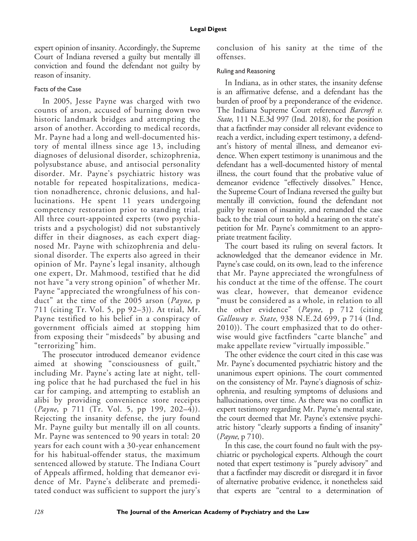expert opinion of insanity. Accordingly, the Supreme Court of Indiana reversed a guilty but mentally ill conviction and found the defendant not guilty by reason of insanity.

## Facts of the Case

In 2005, Jesse Payne was charged with two counts of arson, accused of burning down two historic landmark bridges and attempting the arson of another. According to medical records, Mr. Payne had a long and well-documented history of mental illness since age 13, including diagnoses of delusional disorder, schizophrenia, polysubstance abuse, and antisocial personality disorder. Mr. Payne's psychiatric history was notable for repeated hospitalizations, medication nonadherence, chronic delusions, and hallucinations. He spent 11 years undergoing competency restoration prior to standing trial. All three court-appointed experts (two psychiatrists and a psychologist) did not substantively differ in their diagnoses, as each expert diagnosed Mr. Payne with schizophrenia and delusional disorder. The experts also agreed in their opinion of Mr. Payne's legal insanity, although one expert, Dr. Mahmood, testified that he did not have "a very strong opinion" of whether Mr. Payne "appreciated the wrongfulness of his conduct" at the time of the 2005 arson (Payne, p 711 (citing Tr. Vol. 5, pp 92–3)). At trial, Mr. Payne testified to his belief in a conspiracy of government officials aimed at stopping him from exposing their "misdeeds" by abusing and "terrorizing" him.

The prosecutor introduced demeanor evidence aimed at showing "consciousness of guilt," including Mr. Payne's acting late at night, telling police that he had purchased the fuel in his car for camping, and attempting to establish an alibi by providing convenience store receipts (*Payne*, p 711 (Tr. Vol. 5, pp 199, 202–4)). Rejecting the insanity defense, the jury found Mr. Payne guilty but mentally ill on all counts. Mr. Payne was sentenced to 90 years in total: 20 years for each count with a 30-year enhancement for his habitual-offender status, the maximum sentenced allowed by statute. The Indiana Court of Appeals affirmed, holding that demeanor evidence of Mr. Payne's deliberate and premeditated conduct was sufficient to support the jury's

conclusion of his sanity at the time of the offenses.

## Ruling and Reasoning

In Indiana, as in other states, the insanity defense is an affirmative defense, and a defendant has the burden of proof by a preponderance of the evidence. The Indiana Supreme Court referenced *Barcroft v*. State, 111 N.E.3d 997 (Ind. 2018), for the position that a factfinder may consider all relevant evidence to reach a verdict, including expert testimony, a defendant's history of mental illness, and demeanor evidence. When expert testimony is unanimous and the defendant has a well-documented history of mental illness, the court found that the probative value of demeanor evidence "effectively dissolves." Hence, the Supreme Court of Indiana reversed the guilty but mentally ill conviction, found the defendant not guilty by reason of insanity, and remanded the case back to the trial court to hold a hearing on the state's petition for Mr. Payne's commitment to an appropriate treatment facility.

The court based its ruling on several factors. It acknowledged that the demeanor evidence in Mr. Payne's case could, on its own, lead to the inference that Mr. Payne appreciated the wrongfulness of his conduct at the time of the offense. The court was clear, however, that demeanor evidence "must be considered as a whole, in relation to all the other evidence" (Payne, p 712 (citing Galloway v. State, 938 N.E.2d 699, p 714 (Ind. 2010)). The court emphasized that to do otherwise would give factfinders "carte blanche" and make appellate review "virtually impossible."

The other evidence the court cited in this case was Mr. Payne's documented psychiatric history and the unanimous expert opinions. The court commented on the consistency of Mr. Payne's diagnosis of schizophrenia, and resulting symptoms of delusions and hallucinations, over time. As there was no conflict in expert testimony regarding Mr. Payne's mental state, the court deemed that Mr. Payne's extensive psychiatric history "clearly supports a finding of insanity" (Payne, p 710).

In this case, the court found no fault with the psychiatric or psychological experts. Although the court noted that expert testimony is "purely advisory" and that a factfinder may discredit or disregard it in favor of alternative probative evidence, it nonetheless said that experts are "central to a determination of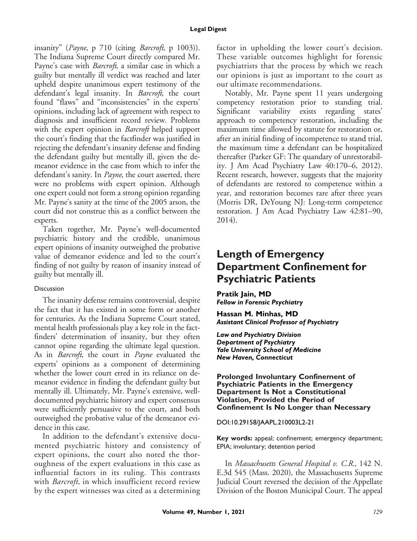insanity" (Payne, p 710 (citing Barcroft, p 1003)). The Indiana Supreme Court directly compared Mr. Payne's case with *Barcroft*, a similar case in which a guilty but mentally ill verdict was reached and later upheld despite unanimous expert testimony of the defendant's legal insanity. In Barcroft, the court found "flaws" and "inconsistencies" in the experts' opinions, including lack of agreement with respect to diagnosis and insufficient record review. Problems with the expert opinion in *Barcroft* helped support the court's finding that the factfinder was justified in rejecting the defendant's insanity defense and finding the defendant guilty but mentally ill, given the demeanor evidence in the case from which to infer the defendant's sanity. In *Payne*, the court asserted, there were no problems with expert opinion. Although one expert could not form a strong opinion regarding Mr. Payne's sanity at the time of the 2005 arson, the court did not construe this as a conflict between the experts.

Taken together, Mr. Payne's well-documented psychiatric history and the credible, unanimous expert opinions of insanity outweighed the probative value of demeanor evidence and led to the court's finding of not guilty by reason of insanity instead of guilty but mentally ill.

## Discussion

The insanity defense remains controversial, despite the fact that it has existed in some form or another for centuries. As the Indiana Supreme Court stated, mental health professionals play a key role in the factfinders' determination of insanity, but they often cannot opine regarding the ultimate legal question. As in *Barcroft*, the court in *Payne* evaluated the experts' opinions as a component of determining whether the lower court erred in its reliance on demeanor evidence in finding the defendant guilty but mentally ill. Ultimately, Mr. Payne's extensive, welldocumented psychiatric history and expert consensus were sufficiently persuasive to the court, and both outweighed the probative value of the demeanor evidence in this case.

In addition to the defendant's extensive documented psychiatric history and consistency of expert opinions, the court also noted the thoroughness of the expert evaluations in this case as influential factors in its ruling. This contrasts with *Barcroft*, in which insufficient record review by the expert witnesses was cited as a determining factor in upholding the lower court's decision. These variable outcomes highlight for forensic psychiatrists that the process by which we reach our opinions is just as important to the court as our ultimate recommendations.

Notably, Mr. Payne spent 11 years undergoing competency restoration prior to standing trial. Significant variability exists regarding states' approach to competency restoration, including the maximum time allowed by statute for restoration or, after an initial finding of incompetence to stand trial, the maximum time a defendant can be hospitalized thereafter (Parker GF: The quandary of unrestorability. J Am Acad Psychiatry Law 40:170–6, 2012). Recent research, however, suggests that the majority of defendants are restored to competence within a year, and restoration becomes rare after three years (Morris DR, DeYoung NJ: Long-term competence restoration. J Am Acad Psychiatry Law 42:81–90, 2014).

# **Length of Emergency Department Confinement for Psychiatric Patients**

**Pratik Jain, MD** *Fellow in Forensic Psychiatry*

**Hassan M. Minhas, MD** *Assistant Clinical Professor of Psychiatry*

*Law and Psychiatry Division Department of Psychiatry Yale University School of Medicine New Haven, Connecticut*

#### **Prolonged Involuntary Confinement of Psychiatric Patients in the Emergency Department Is Not a Constitutional Violation, Provided the Period of Confinement Is No Longer than Necessary**

DOI:10.29158/JAAPL.210003L2-21

**Key words:** appeal; confinement; emergency department; EPIA; involuntary; detention period

In Massachusetts General Hospital v. C.R., 142 N. E.3d 545 (Mass. 2020), the Massachusetts Supreme Judicial Court reversed the decision of the Appellate Division of the Boston Municipal Court. The appeal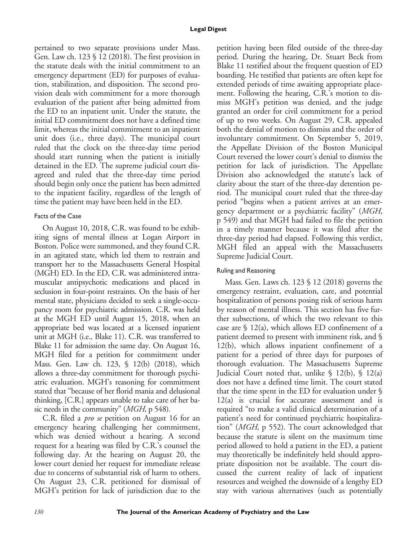pertained to two separate provisions under Mass. Gen. Law ch. 123 § 12 (2018). The first provision in the statute deals with the initial commitment to an emergency department (ED) for purposes of evaluation, stabilization, and disposition. The second provision deals with commitment for a more thorough evaluation of the patient after being admitted from the ED to an inpatient unit. Under the statute, the initial ED commitment does not have a defined time limit, whereas the initial commitment to an inpatient unit does (i.e., three days). The municipal court ruled that the clock on the three-day time period should start running when the patient is initially detained in the ED. The supreme judicial court disagreed and ruled that the three-day time period should begin only once the patient has been admitted to the inpatient facility, regardless of the length of time the patient may have been held in the ED.

## Facts of the Case

On August 10, 2018, C.R. was found to be exhibiting signs of mental illness at Logan Airport in Boston. Police were summoned, and they found C.R. in an agitated state, which led them to restrain and transport her to the Massachusetts General Hospital (MGH) ED. In the ED, C.R. was administered intramuscular antipsychotic medications and placed in seclusion in four-point restraints. On the basis of her mental state, physicians decided to seek a single-occupancy room for psychiatric admission. C.R. was held at the MGH ED until August 15, 2018, when an appropriate bed was located at a licensed inpatient unit at MGH (i.e., Blake 11). C.R. was transferred to Blake 11 for admission the same day. On August 16, MGH filed for a petition for commitment under Mass. Gen. Law ch. 123, § 12(b) (2018), which allows a three-day commitment for thorough psychiatric evaluation. MGH's reasoning for commitment stated that "because of her florid mania and delusional thinking, [C.R.] appears unable to take care of her basic needs in the community" (*MGH*, p 548).

C.R. filed a pro se petition on August 16 for an emergency hearing challenging her commitment, which was denied without a hearing. A second request for a hearing was filed by C.R.'s counsel the following day. At the hearing on August 20, the lower court denied her request for immediate release due to concerns of substantial risk of harm to others. On August 23, C.R. petitioned for dismissal of MGH's petition for lack of jurisdiction due to the petition having been filed outside of the three-day period. During the hearing, Dr. Stuart Beck from Blake 11 testified about the frequent question of ED boarding. He testified that patients are often kept for extended periods of time awaiting appropriate placement. Following the hearing, C.R.'s motion to dismiss MGH's petition was denied, and the judge granted an order for civil commitment for a period of up to two weeks. On August 29, C.R. appealed both the denial of motion to dismiss and the order of involuntary commitment. On September 5, 2019, the Appellate Division of the Boston Municipal Court reversed the lower court's denial to dismiss the petition for lack of jurisdiction. The Appellate Division also acknowledged the statute's lack of clarity about the start of the three-day detention period. The municipal court ruled that the three-day period "begins when a patient arrives at an emergency department or a psychiatric facility" (MGH, p 549) and that MGH had failed to file the petition in a timely manner because it was filed after the three-day period had elapsed. Following this verdict, MGH filed an appeal with the Massachusetts Supreme Judicial Court.

## Ruling and Reasoning

Mass. Gen. Laws ch. 123 § 12 (2018) governs the emergency restraint, evaluation, care, and potential hospitalization of persons posing risk of serious harm by reason of mental illness. This section has five further subsections, of which the two relevant to this case are  $\frac{12(a)}{a}$ , which allows ED confinement of a patient deemed to present with imminent risk, and § 12(b), which allows inpatient confinement of a patient for a period of three days for purposes of thorough evaluation. The Massachusetts Supreme Judicial Court noted that, unlike  $\S$  12(b),  $\S$  12(a) does not have a defined time limit. The court stated that the time spent in the ED for evaluation under § 12(a) is crucial for accurate assessment and is required "to make a valid clinical determination of a patient's need for continued psychiatric hospitalization" (MGH, p 552). The court acknowledged that because the statute is silent on the maximum time period allowed to hold a patient in the ED, a patient may theoretically be indefinitely held should appropriate disposition not be available. The court discussed the current reality of lack of inpatient resources and weighed the downside of a lengthy ED stay with various alternatives (such as potentially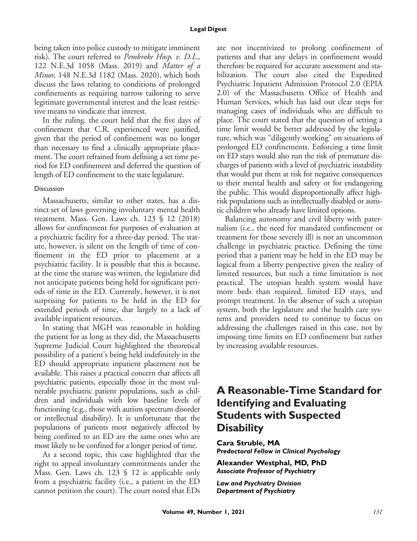being taken into police custody to mitigate imminent risk). The court referred to Pembroke Hosp. v. D.L., 122 N.E.3d 1058 (Mass. 2019) and Matter of a Minor, 148 N.E.3d 1182 (Mass. 2020), which both discuss the laws relating to conditions of prolonged confinements as requiring narrow tailoring to serve legitimate governmental interest and the least restrictive means to vindicate that interest.

In the ruling, the court held that the five days of confinement that C.R. experienced were justified, given that the period of confinement was no longer than necessary to find a clinically appropriate placement. The court refrained from defining a set time period for ED confinement and deferred the question of length of ED confinement to the state legislature.

## **Discussion**

Massachusetts, similar to other states, has a distinct set of laws governing involuntary mental health treatment. Mass. Gen. Laws ch. 123 § 12 (2018) allows for confinement for purposes of evaluation at a psychiatric facility for a three-day period. The statute, however, is silent on the length of time of confinement in the ED prior to placement at a psychiatric facility. It is possible that this is because, at the time the statute was written, the legislature did not anticipate patients being held for significant periods of time in the ED. Currently, however, it is not surprising for patients to be held in the ED for extended periods of time, due largely to a lack of available inpatient resources.

In stating that MGH was reasonable in holding the patient for as long as they did, the Massachusetts Supreme Judicial Court highlighted the theoretical possibility of a patient's being held indefinitely in the ED should appropriate inpatient placement not be available. This raises a practical concern that affects all psychiatric patients, especially those in the most vulnerable psychiatric patient populations, such as children and individuals with low baseline levels of functioning (e.g., those with autism spectrum disorder or intellectual disability). It is unfortunate that the populations of patients most negatively affected by being confined to an ED are the same ones who are most likely to be confined for a longer period of time.

As a second topic, this case highlighted that the right to appeal involuntary commitments under the Mass. Gen. Laws ch.  $123 \text{ } \text{\textless} 12$  is applicable only from a psychiatric facility (i.e., a patient in the ED cannot petition the court). The court noted that EDs are not incentivized to prolong confinement of patients and that any delays in confinement would therefore be required for accurate assessment and stabilization. The court also cited the Expedited Psychiatric Inpatient Admission Protocol 2.0 (EPIA 2.0) of the Massachusetts Office of Health and Human Services, which has laid out clear steps for managing cases of individuals who are difficult to place. The court stated that the question of setting a time limit would be better addressed by the legislature, which was "diligently working" on situations of prolonged ED confinements. Enforcing a time limit on ED stays would also run the risk of premature discharges of patients with a level of psychiatric instability that would put them at risk for negative consequences to their mental health and safety or for endangering the public. This would disproportionally affect highrisk populations such as intellectually disabled or autistic children who already have limited options.

Balancing autonomy and civil liberty with paternalism (i.e., the need for mandated confinement or treatment for those severely ill) is not an uncommon challenge in psychiatric practice. Defining the time period that a patient may be held in the ED may be logical from a liberty perspective given the reality of limited resources, but such a time limitation is not practical. The utopian health system would have more beds than required, limited ED stays, and prompt treatment. In the absence of such a utopian system, both the legislature and the health care systems and providers need to continue to focus on addressing the challenges raised in this case, not by imposing time limits on ED confinement but rather by increasing available resources.

# **A Reasonable-Time Standard for Identifying and Evaluating Students with Suspected Disability**

**Cara Struble, MA** *Predoctoral Fellow in Clinical Psychology*

**Alexander Westphal, MD, PhD** *Associate Professor of Psychiatry*

*Law and Psychiatry Division Department of Psychiatry*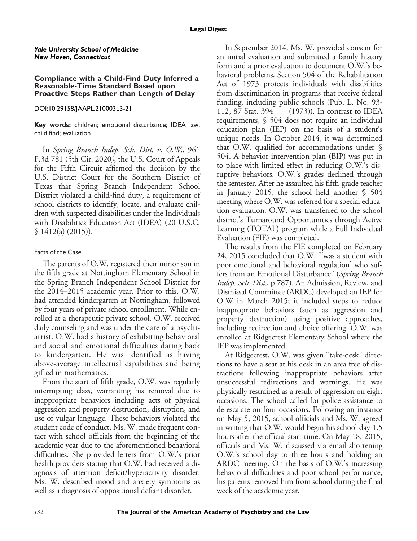#### *Yale University School of Medicine New Haven, Connecticut*

#### **Compliance with a Child-Find Duty Inferred a Reasonable-Time Standard Based upon Proactive Steps Rather than Length of Delay**

### DOI:10.29158/JAAPL.210003L3-21

**Key words:** children; emotional disturbance; IDEA law; child find; evaluation

In Spring Branch Indep. Sch. Dist. v. O.W., 961 F.3d 781 (5th Cir. 2020), the U.S. Court of Appeals for the Fifth Circuit affirmed the decision by the U.S. District Court for the Southern District of Texas that Spring Branch Independent School District violated a child-find duty, a requirement of school districts to identify, locate, and evaluate children with suspected disabilities under the Individuals with Disabilities Education Act (IDEA) (20 U.S.C. § 1412(a) (2015)).

## Facts of the Case

The parents of O.W. registered their minor son in the fifth grade at Nottingham Elementary School in the Spring Branch Independent School District for the 2014–2015 academic year. Prior to this, O.W. had attended kindergarten at Nottingham, followed by four years of private school enrollment. While enrolled at a therapeutic private school, O.W. received daily counseling and was under the care of a psychiatrist. O.W. had a history of exhibiting behavioral and social and emotional difficulties dating back to kindergarten. He was identified as having above-average intellectual capabilities and being gifted in mathematics.

From the start of fifth grade, O.W. was regularly interrupting class, warranting his removal due to inappropriate behaviors including acts of physical aggression and property destruction, disruption, and use of vulgar language. These behaviors violated the student code of conduct. Ms. W. made frequent contact with school officials from the beginning of the academic year due to the aforementioned behavioral difficulties. She provided letters from O.W.'s prior health providers stating that O.W. had received a diagnosis of attention deficit/hyperactivity disorder. Ms. W. described mood and anxiety symptoms as well as a diagnosis of oppositional defiant disorder.

In September 2014, Ms. W. provided consent for an initial evaluation and submitted a family history form and a prior evaluation to document O.W.'s behavioral problems. Section 504 of the Rehabilitation Act of 1973 protects individuals with disabilities from discrimination in programs that receive federal funding, including public schools (Pub. L. No. 93- 112, 87 Stat. 394 (1973)). In contrast to IDEA requirements, § 504 does not require an individual education plan (IEP) on the basis of a student's unique needs. In October 2014, it was determined that O.W. qualified for accommodations under § 504. A behavior intervention plan (BIP) was put in to place with limited effect in reducing O.W.'s disruptive behaviors. O.W.'s grades declined through the semester. After he assaulted his fifth-grade teacher in January 2015, the school held another § 504 meeting where O.W. was referred for a special education evaluation. O.W. was transferred to the school district's Turnaround Opportunities through Active Learning (TOTAL) program while a Full Individual Evaluation (FIE) was completed.

The results from the FIE completed on February 24, 2015 concluded that O.W. "'was a student with poor emotional and behavioral regulation' who suffers from an Emotional Disturbance" (Spring Branch Indep. Sch. Dist., p 787). An Admission, Review, and Dismissal Committee (ARDC) developed an IEP for O.W in March 2015; it included steps to reduce inappropriate behaviors (such as aggression and property destruction) using positive approaches, including redirection and choice offering. O.W. was enrolled at Ridgecrest Elementary School where the IEP was implemented.

At Ridgecrest, O.W. was given "take-desk" directions to have a seat at his desk in an area free of distractions following inappropriate behaviors after unsuccessful redirections and warnings. He was physically restrained as a result of aggression on eight occasions. The school called for police assistance to de-escalate on four occasions. Following an instance on May 5, 2015, school officials and Ms. W. agreed in writing that O.W. would begin his school day 1.5 hours after the official start time. On May 18, 2015, officials and Ms. W. discussed via email shortening O.W.'s school day to three hours and holding an ARDC meeting. On the basis of O.W.'s increasing behavioral difficulties and poor school performance, his parents removed him from school during the final week of the academic year.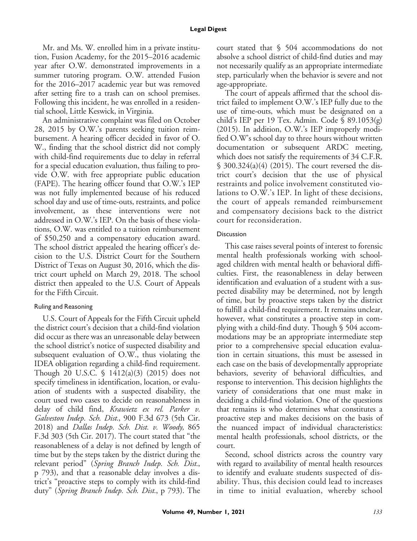#### **Legal Digest**

Mr. and Ms. W. enrolled him in a private institution, Fusion Academy, for the 2015–2016 academic year after O.W. demonstrated improvements in a summer tutoring program. O.W. attended Fusion for the 2016–2017 academic year but was removed after setting fire to a trash can on school premises. Following this incident, he was enrolled in a residential school, Little Keswick, in Virginia.

An administrative complaint was filed on October 28, 2015 by O.W.'s parents seeking tuition reimbursement. A hearing officer decided in favor of O. W., finding that the school district did not comply with child-find requirements due to delay in referral for a special education evaluation, thus failing to provide O.W. with free appropriate public education (FAPE). The hearing officer found that O.W.'s IEP was not fully implemented because of his reduced school day and use of time-outs, restraints, and police involvement, as these interventions were not addressed in O.W.'s IEP. On the basis of these violations, O.W. was entitled to a tuition reimbursement of \$50,250 and a compensatory education award. The school district appealed the hearing officer's decision to the U.S. District Court for the Southern District of Texas on August 30, 2016, which the district court upheld on March 29, 2018. The school district then appealed to the U.S. Court of Appeals for the Fifth Circuit.

## Ruling and Reasoning

U.S. Court of Appeals for the Fifth Circuit upheld the district court's decision that a child-find violation did occur as there was an unreasonable delay between the school district's notice of suspected disability and subsequent evaluation of O.W., thus violating the IDEA obligation regarding a child-find requirement. Though 20 U.S.C. § 1412(a)(3) (2015) does not specify timeliness in identification, location, or evaluation of students with a suspected disability, the court used two cases to decide on reasonableness in delay of child find, Krawietz ex rel. Parker v. Galveston Indep. Sch. Dist., 900 F.3d 673 (5th Cir. 2018) and Dallas Indep. Sch. Dist. v. Woody, 865 F.3d 303 (5th Cir. 2017). The court stated that "the reasonableness of a delay is not defined by length of time but by the steps taken by the district during the relevant period" (Spring Branch Indep. Sch. Dist., p 793), and that a reasonable delay involves a district's "proactive steps to comply with its child-find duty" (Spring Branch Indep. Sch. Dist., p 793). The court stated that § 504 accommodations do not absolve a school district of child-find duties and may not necessarily qualify as an appropriate intermediate step, particularly when the behavior is severe and not age-appropriate.

The court of appeals affirmed that the school district failed to implement O.W.'s IEP fully due to the use of time-outs, which must be designated on a child's IEP per 19 Tex. Admin. Code § 89.1053(g) (2015). In addition, O.W.'s IEP improperly modified O.W's school day to three hours without written documentation or subsequent ARDC meeting, which does not satisfy the requirements of 34 C.F.R. § 300.324(a)(4) (2015). The court reversed the district court's decision that the use of physical restraints and police involvement constituted violations to O.W.'s IEP. In light of these decisions, the court of appeals remanded reimbursement and compensatory decisions back to the district court for reconsideration.

## **Discussion**

This case raises several points of interest to forensic mental health professionals working with schoolaged children with mental health or behavioral difficulties. First, the reasonableness in delay between identification and evaluation of a student with a suspected disability may be determined, not by length of time, but by proactive steps taken by the district to fulfill a child-find requirement. It remains unclear, however, what constitutes a proactive step in complying with a child-find duty. Though § 504 accommodations may be an appropriate intermediate step prior to a comprehensive special education evaluation in certain situations, this must be assessed in each case on the basis of developmentally appropriate behaviors, severity of behavioral difficulties, and response to intervention. This decision highlights the variety of considerations that one must make in deciding a child-find violation. One of the questions that remains is who determines what constitutes a proactive step and makes decisions on the basis of the nuanced impact of individual characteristics: mental health professionals, school districts, or the court.

Second, school districts across the country vary with regard to availability of mental health resources to identify and evaluate students suspected of disability. Thus, this decision could lead to increases in time to initial evaluation, whereby school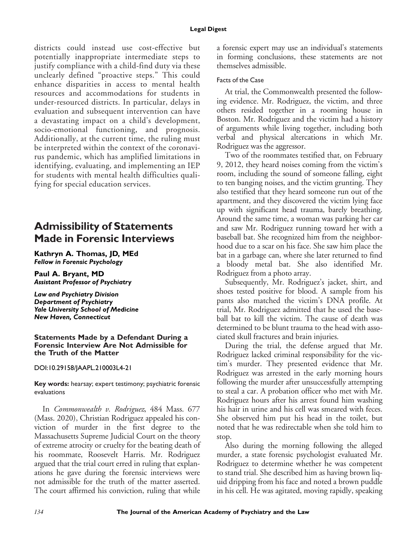districts could instead use cost-effective but potentially inappropriate intermediate steps to justify compliance with a child-find duty via these unclearly defined "proactive steps." This could enhance disparities in access to mental health resources and accommodations for students in under-resourced districts. In particular, delays in evaluation and subsequent intervention can have a devastating impact on a child's development, socio-emotional functioning, and prognosis. Additionally, at the current time, the ruling must be interpreted within the context of the coronavirus pandemic, which has amplified limitations in identifying, evaluating, and implementing an IEP for students with mental health difficulties qualifying for special education services.

# **Admissibility of Statements Made in Forensic Interviews**

**Kathryn A. Thomas, JD, MEd** *Fellow in Forensic Psychology*

**Paul A. Bryant, MD** *Assistant Professor of Psychiatry*

*Law and Psychiatry Division Department of Psychiatry Yale University School of Medicine New Haven, Connecticut*

### **Statements Made by a Defendant During a Forensic Interview Are Not Admissible for the Truth of the Matter**

## DOI:10.29158/JAAPL.210003L4-21

**Key words:** hearsay; expert testimony; psychiatric forensic evaluations

In Commonwealth v. Rodriguez, 484 Mass. 677 (Mass. 2020), Christian Rodriguez appealed his conviction of murder in the first degree to the Massachusetts Supreme Judicial Court on the theory of extreme atrocity or cruelty for the beating death of his roommate, Roosevelt Harris. Mr. Rodriguez argued that the trial court erred in ruling that explanations he gave during the forensic interviews were not admissible for the truth of the matter asserted. The court affirmed his conviction, ruling that while a forensic expert may use an individual's statements in forming conclusions, these statements are not themselves admissible.

## Facts of the Case

At trial, the Commonwealth presented the following evidence. Mr. Rodriguez, the victim, and three others resided together in a rooming house in Boston. Mr. Rodriguez and the victim had a history of arguments while living together, including both verbal and physical altercations in which Mr. Rodriguez was the aggressor.

Two of the roommates testified that, on February 9, 2012, they heard noises coming from the victim's room, including the sound of someone falling, eight to ten banging noises, and the victim grunting. They also testified that they heard someone run out of the apartment, and they discovered the victim lying face up with significant head trauma, barely breathing. Around the same time, a woman was parking her car and saw Mr. Rodriguez running toward her with a baseball bat. She recognized him from the neighborhood due to a scar on his face. She saw him place the bat in a garbage can, where she later returned to find a bloody metal bat. She also identified Mr. Rodriguez from a photo array.

Subsequently, Mr. Rodriguez's jacket, shirt, and shoes tested positive for blood. A sample from his pants also matched the victim's DNA profile. At trial, Mr. Rodriguez admitted that he used the baseball bat to kill the victim. The cause of death was determined to be blunt trauma to the head with associated skull fractures and brain injuries.

During the trial, the defense argued that Mr. Rodriguez lacked criminal responsibility for the victim's murder. They presented evidence that Mr. Rodriguez was arrested in the early morning hours following the murder after unsuccessfully attempting to steal a car. A probation officer who met with Mr. Rodriguez hours after his arrest found him washing his hair in urine and his cell was smeared with feces. She observed him put his head in the toilet, but noted that he was redirectable when she told him to stop.

Also during the morning following the alleged murder, a state forensic psychologist evaluated Mr. Rodriguez to determine whether he was competent to stand trial. She described him as having brown liquid dripping from his face and noted a brown puddle in his cell. He was agitated, moving rapidly, speaking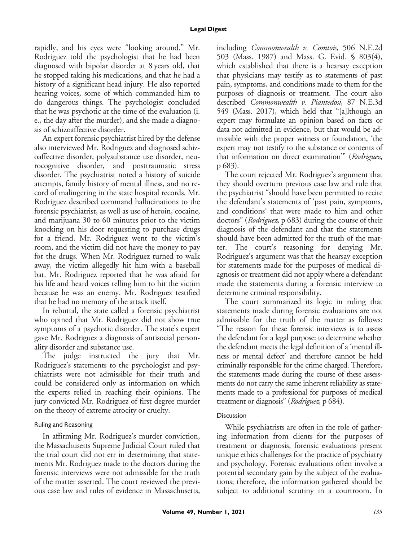rapidly, and his eyes were "looking around." Mr. Rodriguez told the psychologist that he had been diagnosed with bipolar disorder at 8 years old, that he stopped taking his medications, and that he had a history of a significant head injury. He also reported hearing voices, some of which commanded him to do dangerous things. The psychologist concluded that he was psychotic at the time of the evaluation (i. e., the day after the murder), and she made a diagnosis of schizoaffective disorder.

An expert forensic psychiatrist hired by the defense also interviewed Mr. Rodriguez and diagnosed schizoaffective disorder, polysubstance use disorder, neurocognitive disorder, and posttraumatic stress disorder. The psychiatrist noted a history of suicide attempts, family history of mental illness, and no record of malingering in the state hospital records. Mr. Rodriguez described command hallucinations to the forensic psychiatrist, as well as use of heroin, cocaine, and marijuana 30 to 60 minutes prior to the victim knocking on his door requesting to purchase drugs for a friend. Mr. Rodriguez went to the victim's room, and the victim did not have the money to pay for the drugs. When Mr. Rodriguez turned to walk away, the victim allegedly hit him with a baseball bat. Mr. Rodriguez reported that he was afraid for his life and heard voices telling him to hit the victim because he was an enemy. Mr. Rodriguez testified that he had no memory of the attack itself.

In rebuttal, the state called a forensic psychiatrist who opined that Mr. Rodriguez did not show true symptoms of a psychotic disorder. The state's expert gave Mr. Rodriguez a diagnosis of antisocial personality disorder and substance use.

The judge instructed the jury that Mr. Rodriguez's statements to the psychologist and psychiatrists were not admissible for their truth and could be considered only as information on which the experts relied in reaching their opinions. The jury convicted Mr. Rodriguez of first degree murder on the theory of extreme atrocity or cruelty.

## Ruling and Reasoning

In affirming Mr. Rodriguez's murder conviction, the Massachusetts Supreme Judicial Court ruled that the trial court did not err in determining that statements Mr. Rodriguez made to the doctors during the forensic interviews were not admissible for the truth of the matter asserted. The court reviewed the previous case law and rules of evidence in Massachusetts,

including Commonwealth v. Comtois, 506 N.E.2d 503 (Mass. 1987) and Mass. G. Evid. § 803(4), which established that there is a hearsay exception that physicians may testify as to statements of past pain, symptoms, and conditions made to them for the purposes of diagnosis or treatment. The court also described Commonwealth v. Piantedosi, 87 N.E.3d 549 (Mass. 2017), which held that "[a]lthough an expert may formulate an opinion based on facts or data not admitted in evidence, but that would be admissible with the proper witness or foundation, 'the expert may not testify to the substance or contents of that information on direct examination<sup>"</sup> (Rodriguez, p 683).

The court rejected Mr. Rodriguez's argument that they should overturn previous case law and rule that the psychiatrist "should have been permitted to recite the defendant's statements of 'past pain, symptoms, and conditions' that were made to him and other doctors" (Rodriguez, p 683) during the course of their diagnosis of the defendant and that the statements should have been admitted for the truth of the matter. The court's reasoning for denying Mr. Rodriguez's argument was that the hearsay exception for statements made for the purposes of medical diagnosis or treatment did not apply where a defendant made the statements during a forensic interview to determine criminal responsibility.

The court summarized its logic in ruling that statements made during forensic evaluations are not admissible for the truth of the matter as follows: "The reason for these forensic interviews is to assess the defendant for a legal purpose: to determine whether the defendant meets the legal definition of a 'mental illness or mental defect' and therefore cannot be held criminally responsible for the crime charged. Therefore, the statements made during the course of these assessments do not carry the same inherent reliability as statements made to a professional for purposes of medical treatment or diagnosis" (Rodriguez, p 684).

## **Discussion**

While psychiatrists are often in the role of gathering information from clients for the purposes of treatment or diagnosis, forensic evaluations present unique ethics challenges for the practice of psychiatry and psychology. Forensic evaluations often involve a potential secondary gain by the subject of the evaluations; therefore, the information gathered should be subject to additional scrutiny in a courtroom. In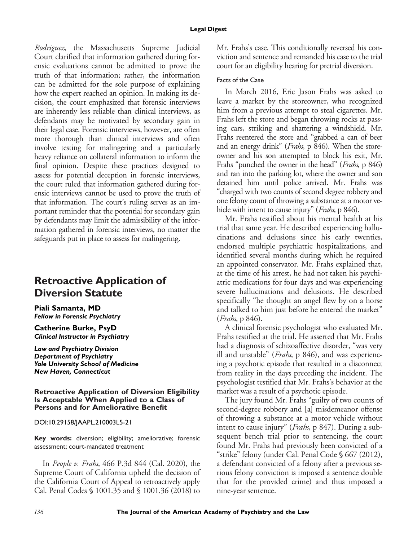Rodriguez, the Massachusetts Supreme Judicial Court clarified that information gathered during forensic evaluations cannot be admitted to prove the truth of that information; rather, the information can be admitted for the sole purpose of explaining how the expert reached an opinion. In making its decision, the court emphasized that forensic interviews are inherently less reliable than clinical interviews, as defendants may be motivated by secondary gain in their legal case. Forensic interviews, however, are often more thorough than clinical interviews and often involve testing for malingering and a particularly heavy reliance on collateral information to inform the final opinion. Despite these practices designed to assess for potential deception in forensic interviews, the court ruled that information gathered during forensic interviews cannot be used to prove the truth of that information. The court's ruling serves as an important reminder that the potential for secondary gain by defendants may limit the admissibility of the information gathered in forensic interviews, no matter the safeguards put in place to assess for malingering.

# **Retroactive Application of Diversion Statute**

**Piali Samanta, MD** *Fellow in Forensic Psychiatry*

**Catherine Burke, PsyD** *Clinical Instructor in Psychiatry*

*Law and Psychiatry Division Department of Psychiatry Yale University School of Medicine New Haven, Connecticut*

#### **Retroactive Application of Diversion Eligibility Is Acceptable When Applied to a Class of Persons and for Ameliorative Benefit**

DOI:10.29158/JAAPL.210003L5-21

**Key words:** diversion; eligibility; ameliorative; forensic assessment; court-mandated treatment

In People v. Frahs, 466 P.3d 844 (Cal. 2020), the Supreme Court of California upheld the decision of the California Court of Appeal to retroactively apply Cal. Penal Codes § 1001.35 and § 1001.36 (2018) to Mr. Frahs's case. This conditionally reversed his conviction and sentence and remanded his case to the trial court for an eligibility hearing for pretrial diversion.

# Facts of the Case

In March 2016, Eric Jason Frahs was asked to leave a market by the storeowner, who recognized him from a previous attempt to steal cigarettes. Mr. Frahs left the store and began throwing rocks at passing cars, striking and shattering a windshield. Mr. Frahs reentered the store and "grabbed a can of beer and an energy drink" (*Frahs*, p 846). When the storeowner and his son attempted to block his exit, Mr. Frahs "punched the owner in the head" (Frahs, p 846) and ran into the parking lot, where the owner and son detained him until police arrived. Mr. Frahs was "charged with two counts of second degree robbery and one felony count of throwing a substance at a motor vehicle with intent to cause injury" (*Frahs*, p 846).

Mr. Frahs testified about his mental health at his trial that same year. He described experiencing hallucinations and delusions since his early twenties, endorsed multiple psychiatric hospitalizations, and identified several months during which he required an appointed conservator. Mr. Frahs explained that, at the time of his arrest, he had not taken his psychiatric medications for four days and was experiencing severe hallucinations and delusions. He described specifically "he thought an angel flew by on a horse and talked to him just before he entered the market" (Frahs, p 846).

A clinical forensic psychologist who evaluated Mr. Frahs testified at the trial. He asserted that Mr. Frahs had a diagnosis of schizoaffective disorder, "was very ill and unstable" (*Frahs*,  $p \, 846$ ), and was experiencing a psychotic episode that resulted in a disconnect from reality in the days preceding the incident. The psychologist testified that Mr. Frahs's behavior at the market was a result of a psychotic episode.

The jury found Mr. Frahs "guilty of two counts of second-degree robbery and [a] misdemeanor offense of throwing a substance at a motor vehicle without intent to cause injury" (*Frahs*, p 847). During a subsequent bench trial prior to sentencing, the court found Mr. Frahs had previously been convicted of a "strike" felony (under Cal. Penal Code § 667 (2012), a defendant convicted of a felony after a previous serious felony conviction is imposed a sentence double that for the provided crime) and thus imposed a nine-year sentence.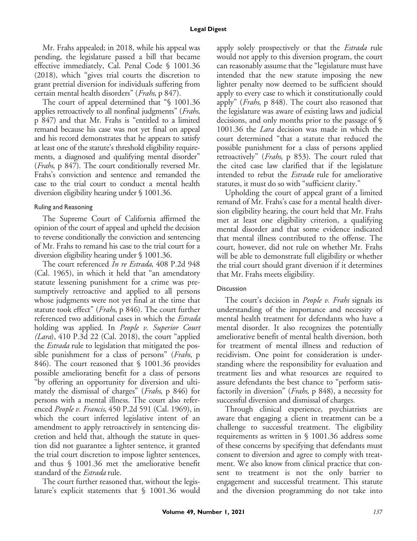#### **Legal Digest**

Mr. Frahs appealed; in 2018, while his appeal was pending, the legislature passed a bill that became effective immediately, Cal. Penal Code § 1001.36 (2018), which "gives trial courts the discretion to grant pretrial diversion for individuals suffering from certain mental health disorders" (Frahs, p 847).

The court of appeal determined that "§ 1001.36 applies retroactively to all nonfinal judgments" (*Frahs*, p 847) and that Mr. Frahs is "entitled to a limited remand because his case was not yet final on appeal and his record demonstrates that he appears to satisfy at least one of the statute's threshold eligibility requirements, a diagnosed and qualifying mental disorder" (Frahs, p 847). The court conditionally reversed Mr. Frahs's conviction and sentence and remanded the case to the trial court to conduct a mental health diversion eligibility hearing under § 1001.36.

#### Ruling and Reasoning

The Supreme Court of California affirmed the opinion of the court of appeal and upheld the decision to reverse conditionally the conviction and sentencing of Mr. Frahs to remand his case to the trial court for a diversion eligibility hearing under § 1001.36.

The court referenced In re Estrada, 408 P.2d 948 (Cal. 1965), in which it held that "an amendatory statute lessening punishment for a crime was presumptively retroactive and applied to all persons whose judgments were not yet final at the time that statute took effect" (*Frahs*, p 846). The court further referenced two additional cases in which the *Estrada* holding was applied. In People v. Superior Court  $(Lara)$ , 410 P.3d 22 (Cal. 2018), the court "applied the Estrada rule to legislation that mitigated the possible punishment for a class of persons" (*Frahs*, p 846). The court reasoned that § 1001.36 provides possible ameliorating benefit for a class of persons "by offering an opportunity for diversion and ultimately the dismissal of charges" (*Frahs*, p 846) for persons with a mental illness. The court also referenced People v. Francis, 450 P.2d 591 (Cal. 1969), in which the court inferred legislative intent of an amendment to apply retroactively in sentencing discretion and held that, although the statute in question did not guarantee a lighter sentence, it granted the trial court discretion to impose lighter sentences, and thus § 1001.36 met the ameliorative benefit standard of the *Estrada* rule.

The court further reasoned that, without the legislature's explicit statements that § 1001.36 would apply solely prospectively or that the *Estrada* rule would not apply to this diversion program, the court can reasonably assume that the "legislature must have intended that the new statute imposing the new lighter penalty now deemed to be sufficient should apply to every case to which it constitutionally could apply" (*Frahs*, p 848). The court also reasoned that the legislature was aware of existing laws and judicial decisions, and only months prior to the passage of § 1001.36 the Lara decision was made in which the court determined "that a statute that reduced the possible punishment for a class of persons applied retroactively" (*Frahs*, p 853). The court ruled that the cited case law clarified that if the legislature intended to rebut the *Estrada* rule for ameliorative statutes, it must do so with "sufficient clarity."

Upholding the court of appeal grant of a limited remand of Mr. Frahs's case for a mental health diversion eligibility hearing, the court held that Mr. Frahs met at least one eligibility criterion, a qualifying mental disorder and that some evidence indicated that mental illness contributed to the offense. The court, however, did not rule on whether Mr. Frahs will be able to demonstrate full eligibility or whether the trial court should grant diversion if it determines that Mr. Frahs meets eligibility.

#### Discussion

The court's decision in *People v. Frahs* signals its understanding of the importance and necessity of mental health treatment for defendants who have a mental disorder. It also recognizes the potentially ameliorative benefit of mental health diversion, both for treatment of mental illness and reduction of recidivism. One point for consideration is understanding where the responsibility for evaluation and treatment lies and what resources are required to assure defendants the best chance to "perform satisfactorily in diversion" (*Frahs*, p 848), a necessity for successful diversion and dismissal of charges.

Through clinical experience, psychiatrists are aware that engaging a client in treatment can be a challenge to successful treatment. The eligibility requirements as written in § 1001.36 address some of these concerns by specifying that defendants must consent to diversion and agree to comply with treatment. We also know from clinical practice that consent to treatment is not the only barrier to engagement and successful treatment. This statute and the diversion programming do not take into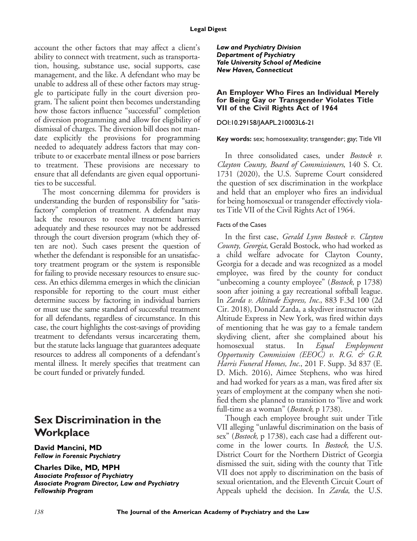account the other factors that may affect a client's ability to connect with treatment, such as transportation, housing, substance use, social supports, case management, and the like. A defendant who may be unable to address all of these other factors may struggle to participate fully in the court diversion program. The salient point then becomes understanding how those factors influence "successful" completion of diversion programming and allow for eligibility of dismissal of charges. The diversion bill does not mandate explicitly the provisions for programming needed to adequately address factors that may contribute to or exacerbate mental illness or pose barriers to treatment. These provisions are necessary to ensure that all defendants are given equal opportunities to be successful.

The most concerning dilemma for providers is understanding the burden of responsibility for "satisfactory" completion of treatment. A defendant may lack the resources to resolve treatment barriers adequately and these resources may not be addressed through the court diversion program (which they often are not). Such cases present the question of whether the defendant is responsible for an unsatisfactory treatment program or the system is responsible for failing to provide necessary resources to ensure success. An ethics dilemma emerges in which the clinician responsible for reporting to the court must either determine success by factoring in individual barriers or must use the same standard of successful treatment for all defendants, regardless of circumstance. In this case, the court highlights the cost-savings of providing treatment to defendants versus incarcerating them, but the statute lacks language that guarantees adequate resources to address all components of a defendant's mental illness. It merely specifies that treatment can be court funded or privately funded.

# **Sex Discrimination in the Workplace**

**David Mancini, MD** *Fellow in Forensic Psychiatry*

**Charles Dike, MD, MPH** *Associate Professor of Psychiatry Associate Program Director, Law and Psychiatry Fellowship Program*

*Law and Psychiatry Division Department of Psychiatry Yale University School of Medicine New Haven, Connecticut*

#### **An Employer Who Fires an Individual Merely for Being Gay or Transgender Violates Title VII of the Civil Rights Act of 1964**

## DOI:10.29158/JAAPL.210003L6-21

## **Key words:** sex; homosexuality; transgender; gay; Title VII

In three consolidated cases, under Bostock v. Clayton County, Board of Commissioners, 140 S. Ct. 1731 (2020), the U.S. Supreme Court considered the question of sex discrimination in the workplace and held that an employer who fires an individual for being homosexual or transgender effectively violates Title VII of the Civil Rights Act of 1964.

## Facts of the Cases

In the first case, *Gerald Lynn Bostock v. Clayton* County, Georgia, Gerald Bostock, who had worked as a child welfare advocate for Clayton County, Georgia for a decade and was recognized as a model employee, was fired by the county for conduct "unbecoming a county employee" (*Bostock*, p 1738) soon after joining a gay recreational softball league. In Zarda v. Altitude Express, Inc., 883 F.3d 100 (2d Cir. 2018), Donald Zarda, a skydiver instructor with Altitude Express in New York, was fired within days of mentioning that he was gay to a female tandem skydiving client, after she complained about his homosexual status. In Equal Employment Opportunity Commission (EEOC) v. R.G. & G.R. Harris Funeral Homes, Inc., 201 F. Supp. 3d 837 (E. D. Mich. 2016), Aimee Stephens, who was hired and had worked for years as a man, was fired after six years of employment at the company when she notified them she planned to transition to "live and work full-time as a woman" (*Bostock*, p 1738).

Though each employee brought suit under Title VII alleging "unlawful discrimination on the basis of sex" (Bostock, p 1738), each case had a different outcome in the lower courts. In Bostock, the U.S. District Court for the Northern District of Georgia dismissed the suit, siding with the county that Title VII does not apply to discrimination on the basis of sexual orientation, and the Eleventh Circuit Court of Appeals upheld the decision. In Zarda, the U.S.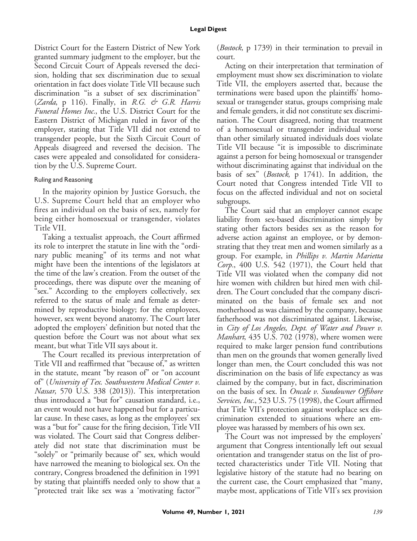District Court for the Eastern District of New York granted summary judgment to the employer, but the Second Circuit Court of Appeals reversed the decision, holding that sex discrimination due to sexual orientation in fact does violate Title VII because such discrimination "is a subset of sex discrimination" (Zarda, p 116). Finally, in R.G. & G.R. Harris Funeral Homes Inc., the U.S. District Court for the Eastern District of Michigan ruled in favor of the employer, stating that Title VII did not extend to transgender people, but the Sixth Circuit Court of Appeals disagreed and reversed the decision. The cases were appealed and consolidated for consideration by the U.S. Supreme Court.

## Ruling and Reasoning

In the majority opinion by Justice Gorsuch, the U.S. Supreme Court held that an employer who fires an individual on the basis of sex, namely for being either homosexual or transgender, violates Title VII.

Taking a textualist approach, the Court affirmed its role to interpret the statute in line with the "ordinary public meaning" of its terms and not what might have been the intentions of the legislators at the time of the law's creation. From the outset of the proceedings, there was dispute over the meaning of "sex." According to the employers collectively, sex referred to the status of male and female as determined by reproductive biology; for the employees, however, sex went beyond anatomy. The Court later adopted the employers' definition but noted that the question before the Court was not about what sex meant, but what Title VII says about it.

The Court recalled its previous interpretation of Title VII and reaffirmed that "because of," as written in the statute, meant "by reason of" or "on account of" (University of Tex. Southwestern Medical Center v. Nassar, 570 U.S. 338 (2013)). This interpretation thus introduced a "but for" causation standard, i.e., an event would not have happened but for a particular cause. In these cases, as long as the employees' sex was a "but for" cause for the firing decision, Title VII was violated. The Court said that Congress deliberately did not state that discrimination must be "solely" or "primarily because of" sex, which would have narrowed the meaning to biological sex. On the contrary, Congress broadened the definition in 1991 by stating that plaintiffs needed only to show that a "protected trait like sex was a 'motivating factor'"

(*Bostock*, p 1739) in their termination to prevail in court.

Acting on their interpretation that termination of employment must show sex discrimination to violate Title VII, the employers asserted that, because the terminations were based upon the plaintiffs' homosexual or transgender status, groups comprising male and female genders, it did not constitute sex discrimination. The Court disagreed, noting that treatment of a homosexual or transgender individual worse than other similarly situated individuals does violate Title VII because "it is impossible to discriminate against a person for being homosexual or transgender without discriminating against that individual on the basis of sex" (Bostock, p 1741). In addition, the Court noted that Congress intended Title VII to focus on the affected individual and not on societal subgroups.

The Court said that an employer cannot escape liability from sex-based discrimination simply by stating other factors besides sex as the reason for adverse action against an employee, or by demonstrating that they treat men and women similarly as a group. For example, in Phillips v. Martin Marietta Corp., 400 U.S. 542 (1971), the Court held that Title VII was violated when the company did not hire women with children but hired men with children. The Court concluded that the company discriminated on the basis of female sex and not motherhood as was claimed by the company, because fatherhood was not discriminated against. Likewise, in City of Los Angeles, Dept. of Water and Power v. Manhart, 435 U.S. 702 (1978), where women were required to make larger pension fund contributions than men on the grounds that women generally lived longer than men, the Court concluded this was not discrimination on the basis of life expectancy as was claimed by the company, but in fact, discrimination on the basis of sex. In Oncale v. Sundowner Offshore Services, Inc., 523 U.S. 75 (1998), the Court affirmed that Title VII's protection against workplace sex discrimination extended to situations where an employee was harassed by members of his own sex.

The Court was not impressed by the employers' argument that Congress intentionally left out sexual orientation and transgender status on the list of protected characteristics under Title VII. Noting that legislative history of the statute had no bearing on the current case, the Court emphasized that "many, maybe most, applications of Title VII's sex provision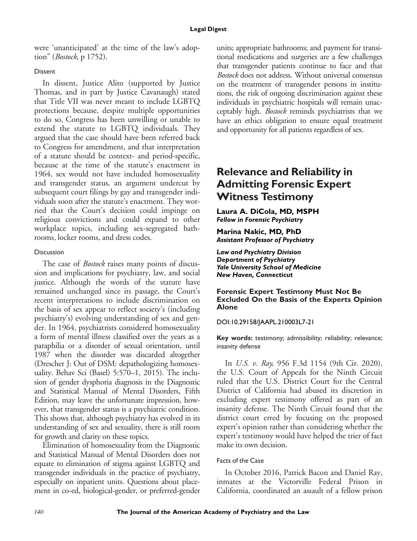were 'unanticipated' at the time of the law's adoption" (Bostock, p 1752).

## Dissent

In dissent, Justice Alito (supported by Justice Thomas, and in part by Justice Cavanaugh) stated that Title VII was never meant to include LGBTQ protections because, despite multiple opportunities to do so, Congress has been unwilling or unable to extend the statute to LGBTQ individuals. They argued that the case should have been referred back to Congress for amendment, and that interpretation of a statute should be context- and period-specific, because at the time of the statute's enactment in 1964, sex would not have included homosexuality and transgender status, an argument undercut by subsequent court filings by gay and transgender individuals soon after the statute's enactment. They worried that the Court's decision could impinge on religious convictions and could expand to other workplace topics, including sex-segregated bathrooms, locker rooms, and dress codes.

## Discussion

The case of *Bostock* raises many points of discussion and implications for psychiatry, law, and social justice. Although the words of the statute have remained unchanged since its passage, the Court's recent interpretations to include discrimination on the basis of sex appear to reflect society's (including psychiatry's) evolving understanding of sex and gender. In 1964, psychiatrists considered homosexuality a form of mental illness classified over the years as a paraphilia or a disorder of sexual orientation, until 1987 when the disorder was discarded altogether (Drescher J: Out of DSM: depathologizing homosexuality. Behav Sci (Basel) 5:570–1, 2015). The inclusion of gender dysphoria diagnosis in the Diagnostic and Statistical Manual of Mental Disorders, Fifth Edition, may leave the unfortunate impression, however, that transgender status is a psychiatric condition. This shows that, although psychiatry has evolved in its understanding of sex and sexuality, there is still room for growth and clarity on these topics.

Elimination of homosexuality from the Diagnostic and Statistical Manual of Mental Disorders does not equate to elimination of stigma against LGBTQ and transgender individuals in the practice of psychiatry, especially on inpatient units. Questions about placement in co-ed, biological-gender, or preferred-gender units; appropriate bathrooms; and payment for transitional medications and surgeries are a few challenges that transgender patients continue to face and that Bostock does not address. Without universal consensus on the treatment of transgender persons in institutions, the risk of ongoing discrimination against these individuals in psychiatric hospitals will remain unacceptably high. Bostock reminds psychiatrists that we have an ethics obligation to ensure equal treatment and opportunity for all patients regardless of sex.

# **Relevance and Reliability in Admitting Forensic Expert Witness Testimony**

**Laura A. DiCola, MD, MSPH** *Fellow in Forensic Psychiatry*

**Marina Nakic, MD, PhD** *Assistant Professor of Psychiatry*

*Law and Psychiatry Division Department of Psychiatry Yale University School of Medicine New Haven, Connecticut*

#### **Forensic Expert Testimony Must Not Be Excluded On the Basis of the Experts Opinion Alone**

DOI:10.29158/JAAPL.210003L7-21

**Key words:** testimony; admissibility; reliability; relevance; insanity defense

In U.S. v. Ray, 956 F.3d 1154 (9th Cir. 2020), the U.S. Court of Appeals for the Ninth Circuit ruled that the U.S. District Court for the Central District of California had abused its discretion in excluding expert testimony offered as part of an insanity defense. The Ninth Circuit found that the district court erred by focusing on the proposed expert's opinion rather than considering whether the expert's testimony would have helped the trier of fact make its own decision.

## Facts of the Case

In October 2016, Patrick Bacon and Daniel Ray, inmates at the Victorville Federal Prison in California, coordinated an assault of a fellow prison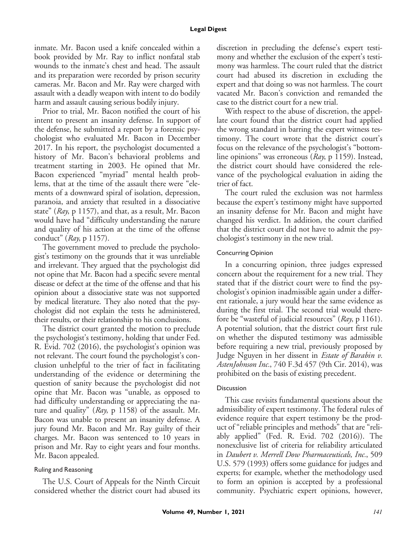#### **Legal Digest**

inmate. Mr. Bacon used a knife concealed within a book provided by Mr. Ray to inflict nonfatal stab wounds to the inmate's chest and head. The assault and its preparation were recorded by prison security cameras. Mr. Bacon and Mr. Ray were charged with assault with a deadly weapon with intent to do bodily harm and assault causing serious bodily injury.

Prior to trial, Mr. Bacon notified the court of his intent to present an insanity defense. In support of the defense, he submitted a report by a forensic psychologist who evaluated Mr. Bacon in December 2017. In his report, the psychologist documented a history of Mr. Bacon's behavioral problems and treatment starting in 2003. He opined that Mr. Bacon experienced "myriad" mental health problems, that at the time of the assault there were "elements of a downward spiral of isolation, depression, paranoia, and anxiety that resulted in a dissociative state" ( $Ra$ <sub>y</sub>, p 1157), and that, as a result, Mr. Bacon would have had "difficulty understanding the nature and quality of his action at the time of the offense conduct" ( $Ray$ , p 1157).

The government moved to preclude the psychologist's testimony on the grounds that it was unreliable and irrelevant. They argued that the psychologist did not opine that Mr. Bacon had a specific severe mental disease or defect at the time of the offense and that his opinion about a dissociative state was not supported by medical literature. They also noted that the psychologist did not explain the tests he administered, their results, or their relationship to his conclusions.

The district court granted the motion to preclude the psychologist's testimony, holding that under Fed. R. Evid. 702 (2016), the psychologist's opinion was not relevant. The court found the psychologist's conclusion unhelpful to the trier of fact in facilitating understanding of the evidence or determining the question of sanity because the psychologist did not opine that Mr. Bacon was "unable, as opposed to had difficulty understanding or appreciating the nature and quality" (Ray, p 1158) of the assault. Mr. Bacon was unable to present an insanity defense. A jury found Mr. Bacon and Mr. Ray guilty of their charges. Mr. Bacon was sentenced to 10 years in prison and Mr. Ray to eight years and four months. Mr. Bacon appealed.

#### Ruling and Reasoning

The U.S. Court of Appeals for the Ninth Circuit considered whether the district court had abused its

discretion in precluding the defense's expert testimony and whether the exclusion of the expert's testimony was harmless. The court ruled that the district court had abused its discretion in excluding the expert and that doing so was not harmless. The court vacated Mr. Bacon's conviction and remanded the case to the district court for a new trial.

With respect to the abuse of discretion, the appellate court found that the district court had applied the wrong standard in barring the expert witness testimony. The court wrote that the district court's focus on the relevance of the psychologist's "bottomline opinions" was erroneous ( $Ray$ , p 1159). Instead, the district court should have considered the relevance of the psychological evaluation in aiding the trier of fact.

The court ruled the exclusion was not harmless because the expert's testimony might have supported an insanity defense for Mr. Bacon and might have changed his verdict. In addition, the court clarified that the district court did not have to admit the psychologist's testimony in the new trial.

#### Concurring Opinion

In a concurring opinion, three judges expressed concern about the requirement for a new trial. They stated that if the district court were to find the psychologist's opinion inadmissible again under a different rationale, a jury would hear the same evidence as during the first trial. The second trial would therefore be "wasteful of judicial resources"  $(Ray, p 1161)$ . A potential solution, that the district court first rule on whether the disputed testimony was admissible before requiring a new trial, previously proposed by Judge Nguyen in her dissent in Estate of Barabin v. AstenJohnson Inc., 740 F.3d 457 (9th Cir. 2014), was prohibited on the basis of existing precedent.

#### Discussion

This case revisits fundamental questions about the admissibility of expert testimony. The federal rules of evidence require that expert testimony be the product of "reliable principles and methods" that are "reliably applied" (Fed. R. Evid. 702 (2016)). The nonexclusive list of criteria for reliability articulated in Daubert v. Merrell Dow Pharmaceuticals, Inc., 509 U.S. 579 (1993) offers some guidance for judges and experts; for example, whether the methodology used to form an opinion is accepted by a professional community. Psychiatric expert opinions, however,